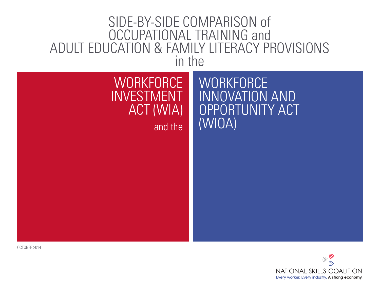# SIDE-BY-SIDE COMPARISON of OCCUPATIONAL TRAINING and ADULT EDUCATION & FAMILY LITERACY PROVISIONS in the

# **WORKFORCE** INVESTMENT ACT (WIA) and the

**WORKFORCE** INNOVATION AND OPPORTUNITY ACT (WIOA)

OCTOBER 2014

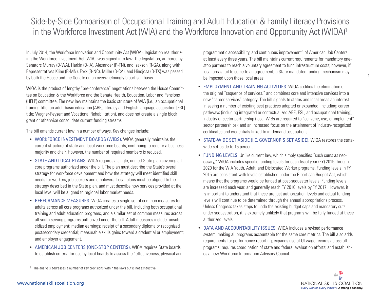## Side-by-Side Comparison of Occupational Training and Adult Education & Family Literacy Provisions in the Workforce Investment Act (WIA) and the Workforce Innovation and Opportunity Act (WIOA)<sup>1</sup>

In July 2014, the Workforce Innovation and Opportunity Act (WIOA), legislation reauthorizing the Workforce Investment Act (WIA), was signed into law. The legislation, authored by Senators Murray (D-WA), Harkin (D-IA), Alexander (R-TN), and Isakson (R-GA), along with Representatives Kline (R-MN), Foxx (R-NC), Miller (D-CA), and Hinojosa (D-TX) was passed by both the House and the Senate on an overwhelmingly bipartisan basis.

WIOA is the product of lengthy "pre-conference" negotiations between the House Committee on Education & the Workforce and the Senate Health, Education, Labor and Pensions (HELP) committee. The new law maintains the basic structure of WIA (i.e., an occupational training title; an adult basic education [ABE], literacy and English language acquisition [ESL] title; Wagner-Peyser; and Vocational Rehabilitation), and does not create a single block grant or otherwise consolidate current funding streams.

The bill amends current law in a number of ways. Key changes include:

- WORKFORCE INVESTMENT BOARDS (WIBS). WIOA generally maintains the current structure of state and local workforce boards, continuing to require a business majority and chair. However, the number of required members is reduced.
- STATE AND LOCAL PLANS. WIOA requires a single, unified State plan covering all core programs authorized under the bill. The plan must describe the State's overall strategy for workforce development and how the strategy will meet identified skill needs for workers, job seekers and employers. Local plans must be aligned to the strategy described in the State plan, and must describe how services provided at the local level will be aligned to regional labor market needs.
- PERFORMANCE MEASURES. WIOA creates a single set of common measures for adults across all core programs authorized under the bill, including both occupational training and adult education programs, and a similar set of common measures across all youth serving programs authorized under the bill. Adult measures include: unsubsidized employment; median earnings; receipt of a secondary diploma or recognized postsecondary credential; measurable skills gains toward a credential or employment; and employer engagement.
- AMERICAN JOB CENTERS (ONE-STOP CENTERS). WIOA requires State boards to establish criteria for use by local boards to assess the "effectiveness, physical and

programmatic accessibility, and continuous improvement" of American Job Centers at least every three years. The bill maintains current requirements for mandatory onestop partners to reach a voluntary agreement to fund infrastructure costs; however, if local areas fail to come to an agreement, a State mandated funding mechanism may be imposed upon those local areas.

- EMPLOYMENT AND TRAINING ACTIVITIES. WIOA codifies the elimination of the original "sequence of services," and combines core and intensive services into a new "career services" category. The bill signals to states and local areas an interest in seeing a number of existing best practices adopted or expanded, including: career pathways (including integrated or contextualized ABE, ESL, and occupational training); industry or sector partnership (local WIBs are required to "convene, use, or implement" sector partnerships); and an increased focus on the attainment of industry-recognized certificates and credentials linked to in-demand occupations.
- STATE-WIDE SET ASIDE (I.E. GOVERNOR'S SET ASIDE). WIOA restores the statewide set-aside to 15 percent.
- FUNDING LEVELS. Unlike current law, which simply specifies "such sums as necessary," WIOA includes specific funding levels for each fiscal year (FY) 2015 through 2020 for the WIA Youth, Adult, and Dislocated Worker programs. Funding levels in FY 2015 are consistent with levels established under the Bipartisan Budget Act, which means that the programs would be funded at post-sequester levels. Funding levels are increased each year, and generally reach FY 2010 levels by FY 2017. However, it is important to understand that these are just authorization levels and actual funding levels will continue to be determined through the annual appropriations process. Unless Congress takes steps to undo the existing budget caps and mandatory cuts under sequestration, it is extremely unlikely that programs will be fully funded at these authorized levels.
- DATA AND ACCOUNTABILITY ISSUES. WIOA includes a revised performance system, making all programs accountable for the same core metrics. The bill also adds requirements for performance reporting, expands use of UI wage records across all programs; requires coordination of state and federal evaluation efforts; and establishes a new Workforce Information Advisory Council.



**1**

<sup>1</sup> The analysis addresses a number of key provisions within the laws but is not exhaustive.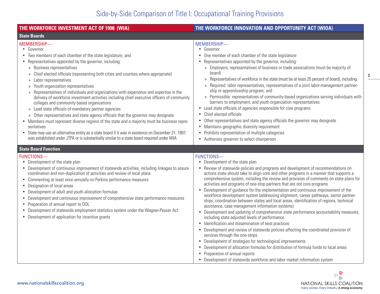## Side-by-Side Comparison of Title I: Occupational Training Provisions

| THE WORKFORCE INVESTMENT ACT OF 1998 (WIA)                                                                                                                                                                                                                                                                                                                                                                                                                                                                                                                                                                                                                                                                                                                                                                                                                                                                                                                                                                                                                                                                                                      | THE WORKFORCE INNOVATION AND OPPORTUNITY ACT (WIOA)                                                                                                                                                                                                                                                                                                                                                                                                                                                                                                                                                                                                                                                                                                                                                                                                                                                                                                                                                                                                                                                                                                                                                                                                                                                                                      |
|-------------------------------------------------------------------------------------------------------------------------------------------------------------------------------------------------------------------------------------------------------------------------------------------------------------------------------------------------------------------------------------------------------------------------------------------------------------------------------------------------------------------------------------------------------------------------------------------------------------------------------------------------------------------------------------------------------------------------------------------------------------------------------------------------------------------------------------------------------------------------------------------------------------------------------------------------------------------------------------------------------------------------------------------------------------------------------------------------------------------------------------------------|------------------------------------------------------------------------------------------------------------------------------------------------------------------------------------------------------------------------------------------------------------------------------------------------------------------------------------------------------------------------------------------------------------------------------------------------------------------------------------------------------------------------------------------------------------------------------------------------------------------------------------------------------------------------------------------------------------------------------------------------------------------------------------------------------------------------------------------------------------------------------------------------------------------------------------------------------------------------------------------------------------------------------------------------------------------------------------------------------------------------------------------------------------------------------------------------------------------------------------------------------------------------------------------------------------------------------------------|
| <b>State Boards</b>                                                                                                                                                                                                                                                                                                                                                                                                                                                                                                                                                                                                                                                                                                                                                                                                                                                                                                                                                                                                                                                                                                                             |                                                                                                                                                                                                                                                                                                                                                                                                                                                                                                                                                                                                                                                                                                                                                                                                                                                                                                                                                                                                                                                                                                                                                                                                                                                                                                                                          |
| MEMBERSHIP-<br>• Governor<br>Two members of each chamber of the state legislature, and<br>• Representatives appointed by the governor, including:<br><b>Business representatives</b><br>$\gg$<br>Chief elected officials (representing both cities and counties where appropriate)<br>$\rangle$<br>Labor representatives<br>$\rangle$<br>Youth organization representatives<br>$\rangle$<br>Representatives of individuals and organizations with experience and expertise in the<br>$\mathcal{Y}$<br>delivery of workforce investment activities including chief executive officers of community<br>colleges and community based organizations<br>Lead state officials of mandatory partner agencies<br>$\rangle$<br>Other representatives and state agency officials that the governor may designate<br>$\rangle\!\rangle$<br>• Members must represent diverse regions of the state and a majority must be business repre-<br>sentatives<br>• State may use an alternative entity as a state board if it was in existence on December 31, 1997;<br>was established under JTPA or is substantially similar to a state board required under WIA | MEMBERSHIP-<br>• Governor<br>One member of each chamber of the state legislature<br>• Representatives appointed by the governor, including:<br>» Employers, representatives of business or trade associations (must be majority of<br>board)<br>» Representatives of workforce in the state (must be at least 20 percent of board), including:<br>» Required: labor representatives, representatives of a joint labor-management partner-<br>ship or apprenticeship program; and<br>» Permissible: representatives of community-based organizations serving individuals with<br>barriers to employment, and youth organization representatives<br>• Lead state officials of agencies responsible for core programs<br>• Chief elected officials<br>Other representatives and state agency officials the governor may designate<br>• Maintains geographic diversity requirement<br>• Prohibits representation of multiple categories<br>• Authorizes governor to select chairperson                                                                                                                                                                                                                                                                                                                                                       |
| <b>State Board Function</b>                                                                                                                                                                                                                                                                                                                                                                                                                                                                                                                                                                                                                                                                                                                                                                                                                                                                                                                                                                                                                                                                                                                     |                                                                                                                                                                                                                                                                                                                                                                                                                                                                                                                                                                                                                                                                                                                                                                                                                                                                                                                                                                                                                                                                                                                                                                                                                                                                                                                                          |
| <b>FUNCTIONS-</b><br>• Development of the state plan<br>• Development of continuous improvement of statewide activities, including linkages to assure<br>coordination and non-duplication of activities and review of local plans<br>• Commenting at least once annually on Perkins performance measures<br>• Designation of local areas<br>• Development of adult and youth allocation formulas<br>• Development and continuous improvement of comprehensive state performance measures<br>• Preparation of annual report to DOL<br>• Development of statewide employment statistics system under the Wagner-Peyser Act<br>• Development of application for incentive grants                                                                                                                                                                                                                                                                                                                                                                                                                                                                   | <b>FUNCTIONS-</b><br>• Development of the state plan<br>• Review of statewide policies and programs and development of recommendations on<br>actions state should take to align core and other programs in a manner that supports a<br>comprehensive system, including the review and provision of comments on state plans for<br>activities and programs of one-stop partners that are not core programs<br>Development of guidance for the implementation and continuous improvement of the<br>workforce development system (addressing alignment, career pathways, sector partner-<br>ships, coordination between states and local areas, identification of regions, technical<br>assistance, case management information systems)<br>Development and updating of comprehensive state performance accountability measures,<br>including state adjusted levels of performance<br>• Identification and dissemination of best practices<br>• Development and review of statewide policies affecting the coordinated provision of<br>services through the one-stops<br>• Development of strategies for technological improvements<br>• Development of allocation formulas for distribution of formula funds to local areas<br>• Preparation of annual reports<br>• Development of statewide workforce and labor market information system |

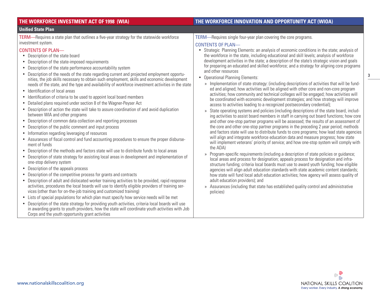| THE WORKFORCE INVESTMENT ACT OF 1998 (WIA)                                                                                                                                                                                                                                                                                                                                                                                                                                                                                                                                                                                                                                                                                                                                                                                                                                                                                                                                                                                                                                                                                                                                                                                                                                                                                                                                                                                                                                                                                                                                                                                                                                                                                                                                                                                                                                                                                                                                                                                                                                                                                                                              | THE WORKFORCE INNOVATION AND OPPORTUNITY ACT (WIOA)                                                                                                                                                                                                                                                                                                                                                                                                                                                                                                                                                                                                                                                                                                                                                                                                                                                                                                                                                                                                                                                                                                                                                                                                                                                                                                                                                                                                                                                                                                                                                                                                                                                                                                                                                                                                                                                                                                                                                                                                                                                                                                                                                                                                                                                               |
|-------------------------------------------------------------------------------------------------------------------------------------------------------------------------------------------------------------------------------------------------------------------------------------------------------------------------------------------------------------------------------------------------------------------------------------------------------------------------------------------------------------------------------------------------------------------------------------------------------------------------------------------------------------------------------------------------------------------------------------------------------------------------------------------------------------------------------------------------------------------------------------------------------------------------------------------------------------------------------------------------------------------------------------------------------------------------------------------------------------------------------------------------------------------------------------------------------------------------------------------------------------------------------------------------------------------------------------------------------------------------------------------------------------------------------------------------------------------------------------------------------------------------------------------------------------------------------------------------------------------------------------------------------------------------------------------------------------------------------------------------------------------------------------------------------------------------------------------------------------------------------------------------------------------------------------------------------------------------------------------------------------------------------------------------------------------------------------------------------------------------------------------------------------------------|-------------------------------------------------------------------------------------------------------------------------------------------------------------------------------------------------------------------------------------------------------------------------------------------------------------------------------------------------------------------------------------------------------------------------------------------------------------------------------------------------------------------------------------------------------------------------------------------------------------------------------------------------------------------------------------------------------------------------------------------------------------------------------------------------------------------------------------------------------------------------------------------------------------------------------------------------------------------------------------------------------------------------------------------------------------------------------------------------------------------------------------------------------------------------------------------------------------------------------------------------------------------------------------------------------------------------------------------------------------------------------------------------------------------------------------------------------------------------------------------------------------------------------------------------------------------------------------------------------------------------------------------------------------------------------------------------------------------------------------------------------------------------------------------------------------------------------------------------------------------------------------------------------------------------------------------------------------------------------------------------------------------------------------------------------------------------------------------------------------------------------------------------------------------------------------------------------------------------------------------------------------------------------------------------------------------|
| <b>Unified State Plan</b>                                                                                                                                                                                                                                                                                                                                                                                                                                                                                                                                                                                                                                                                                                                                                                                                                                                                                                                                                                                                                                                                                                                                                                                                                                                                                                                                                                                                                                                                                                                                                                                                                                                                                                                                                                                                                                                                                                                                                                                                                                                                                                                                               |                                                                                                                                                                                                                                                                                                                                                                                                                                                                                                                                                                                                                                                                                                                                                                                                                                                                                                                                                                                                                                                                                                                                                                                                                                                                                                                                                                                                                                                                                                                                                                                                                                                                                                                                                                                                                                                                                                                                                                                                                                                                                                                                                                                                                                                                                                                   |
| TERM—Requires a state plan that outlines a five-year strategy for the statewide workforce<br>investment system.<br><b>CONTENTS OF PLAN-</b><br>• Description of the state board<br>• Description of the state-imposed requirements<br>Description of the state performance accountability system<br>$\bullet$<br>• Description of the needs of the state regarding current and projected employment opportu-<br>nities, the job skills necessary to obtain such employment, skills and economic development<br>needs of the state, and the type and availability of workforce investment activities in the state<br>• Identification of local areas<br>• Identification of criteria to be used to appoint local board members<br>• Detailed plans required under section 8 of the Wagner-Peyser Act<br>Description of action the state will take to assure coordination of and avoid duplication<br>between WIA and other programs<br>• Description of common data collection and reporting processes<br>• Description of the public comment and input process<br>• Information regarding leveraging of resources<br>• Assurances of fiscal control and fund accounting procedures to ensure the proper disburse-<br>ment of funds<br>• Description of the methods and factors state will use to distribute funds to local areas<br>• Description of state strategy for assisting local areas in development and implementation of<br>one-stop delivery system<br>• Description of the appeals process<br>Description of the competitive process for grants and contracts<br>$\bullet$<br>• Description of adult and dislocated worker training activities to be provided, rapid response<br>activities, procedures the local boards will use to identify eligible providers of training ser-<br>vices (other than for on-the-job training and customized training)<br>• Lists of special populations for which plan must specify how service needs will be met<br>• Description of the state strategy for providing youth activities, criteria local boards will use<br>in awarding grants to youth providers, how the state will coordinate youth activities with Job | TERM-Requires single four-year plan covering the core programs.<br><b>CONTENTS OF PLAN-</b><br>• Strategic Planning Elements: an analysis of economic conditions in the state; analysis of<br>the workforce in the state, including educational and skill levels; analysis of workforce<br>development activities in the state; a description of the state's strategic vision and goals<br>for preparing an educated and skilled workforce; and a strategy for aligning core programs<br>and other resources<br><b>Operational Planning Elements:</b><br>$\bullet$<br>» Implementation of state strategy: (including descriptions of activities that will be fund-<br>ed and aligned; how activities will be aligned with other core and non-core program<br>activities; how community and technical colleges will be engaged; how activities will<br>be coordinated with economic development strategies; and how strategy will improve<br>access to activities leading to a recognized postsecondary credential);<br>State operating systems and policies (including descriptions of the state board, includ-<br>X)<br>ing activities to assist board members in staff in carrying out board functions; how core<br>and other one-stop partner programs will be assessed; the results of an assessment of<br>the core and other one-stop partner programs in the preceding 2 year period; methods<br>and factors state will use to distribute funds to core programs; how lead state agencies<br>will align and integrate workforce education data and measure progress; how state<br>will implement veterans' priority of service; and how one-stop system will comply with<br>the ADA)<br>» Program-specific requirements (including a description of state policies or guidance;<br>local areas and process for designation; appeals process for designation and infra-<br>structure funding; criteria local boards must use to award youth funding; how eligible<br>agencies will align adult education standards with state academic content standards;<br>how state will fund local adult education activities; how agency will assess quality of<br>adult education providers); and<br>Assurances (including that state has established quality control and administrative<br>$\mathcal{V}$<br>policies) |



Corps and the youth opportunity grant activities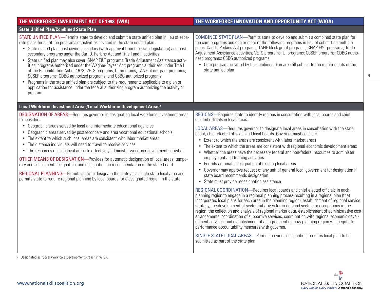| THE WORKFORCE INVESTMENT ACT OF 1998 (WIA)                                                                                                                                                                                                                                                                                                                                                                                                                                                                                                                                                                                                                                                                                                                                                                                                                                                                                                            | THE WORKFORCE INNOVATION AND OPPORTUNITY ACT (WIOA)                                                                                                                                                                                                                                                                                                                                                                                                                                                                                                                                                                                                                                                                                                                                                                                                                                                                                                                                                                                                                                                                                                                                                                                                                                                                                                                                                                                                                                                                                                                                                                                                                                                                                                                 |
|-------------------------------------------------------------------------------------------------------------------------------------------------------------------------------------------------------------------------------------------------------------------------------------------------------------------------------------------------------------------------------------------------------------------------------------------------------------------------------------------------------------------------------------------------------------------------------------------------------------------------------------------------------------------------------------------------------------------------------------------------------------------------------------------------------------------------------------------------------------------------------------------------------------------------------------------------------|---------------------------------------------------------------------------------------------------------------------------------------------------------------------------------------------------------------------------------------------------------------------------------------------------------------------------------------------------------------------------------------------------------------------------------------------------------------------------------------------------------------------------------------------------------------------------------------------------------------------------------------------------------------------------------------------------------------------------------------------------------------------------------------------------------------------------------------------------------------------------------------------------------------------------------------------------------------------------------------------------------------------------------------------------------------------------------------------------------------------------------------------------------------------------------------------------------------------------------------------------------------------------------------------------------------------------------------------------------------------------------------------------------------------------------------------------------------------------------------------------------------------------------------------------------------------------------------------------------------------------------------------------------------------------------------------------------------------------------------------------------------------|
| <b>State Unified Plan/Combined State Plan</b>                                                                                                                                                                                                                                                                                                                                                                                                                                                                                                                                                                                                                                                                                                                                                                                                                                                                                                         |                                                                                                                                                                                                                                                                                                                                                                                                                                                                                                                                                                                                                                                                                                                                                                                                                                                                                                                                                                                                                                                                                                                                                                                                                                                                                                                                                                                                                                                                                                                                                                                                                                                                                                                                                                     |
| STATE UNIFIED PLAN—Permits state to develop and submit a state unified plan in lieu of sepa-<br>rate plans for all of the programs or activities covered in the state unified plan.<br>• State unified plan must cover: secondary (with approval from the state legislature) and post-<br>secondary programs under the Carl D. Perkins Act and Title I and II activities<br>• State unified plan may also cover: SNAP E&T programs; Trade Adjustment Assistance activ-<br>ities; programs authorized under the Wagner-Peyser Act; programs authorized under Title I<br>of the Rehabilitation Act of 1973; VETS programs; UI programs; TANF block grant programs;<br>SCSEP programs; CDBG authorized programs; and CSBG authorized programs<br>• Programs in the state unified plan are subject to the requirements applicable to a plan or<br>application for assistance under the federal authorizing program authorizing the activity or<br>program | <b>COMBINED STATE PLAN—Permits state to develop and submit a combined state plan for</b><br>the core programs and one or more of the following programs in lieu of submitting multiple<br>plans: Carl D. Perkins Act programs; TANF block grant programs; SNAP E&T programs; Trade<br>Adjustment Assistance activities; VETS programs; UI programs; SCSEP programs; CDBG autho-<br>rized programs; CSBG authorized programs<br>• Core programs covered by the combined plan are still subject to the requirements of the<br>state unified plan                                                                                                                                                                                                                                                                                                                                                                                                                                                                                                                                                                                                                                                                                                                                                                                                                                                                                                                                                                                                                                                                                                                                                                                                                      |
| Local Workforce Investment Areas/Local Workforce Development Areas <sup>2</sup>                                                                                                                                                                                                                                                                                                                                                                                                                                                                                                                                                                                                                                                                                                                                                                                                                                                                       |                                                                                                                                                                                                                                                                                                                                                                                                                                                                                                                                                                                                                                                                                                                                                                                                                                                                                                                                                                                                                                                                                                                                                                                                                                                                                                                                                                                                                                                                                                                                                                                                                                                                                                                                                                     |
| <b>DESIGNATION OF AREAS—Requires governor in designating local workforce investment areas</b><br>to consider:<br>• Geographic areas served by local and intermediate educational agencies<br>Geographic areas served by postsecondary and area vocational educational schools;<br>The extent to which such local areas are consistent with labor market areas<br>The distance individuals will need to travel to receive services<br>• The resources of such local areas to effectively administer workforce investment activities<br><b>OTHER MEANS OF DESIGNATION—Provides for automatic designation of local areas, tempo-</b><br>rary and subsequent designation, and designation on recommendation of the state board.<br>REGIONAL PLANNING—Permits state to designate the state as a single state local area and<br>permits state to require regional planning by local boards for a designated region in the state.                            | REGIONS-Requires state to identify regions in consultation with local boards and chief<br>elected officials in local areas.<br>LOCAL AREAS—Requires governor to designate local areas in consultation with the state<br>board, chief elected officials and local boards. Governor must consider:<br>Extent to which the areas are consistent with labor market areas<br>$\bullet$<br>The extent to which the areas are consistent with regional economic development areas<br>$\bullet$<br>• Whether the areas have the necessary federal and non-federal resources to administer<br>employment and training activities<br>Permits automatic designation of existing local areas<br>$\bullet$<br>Governor may approve request of any unit of general local government for designation if<br>state board recommends designation<br>State must provide redesignation assistance<br>$\bullet$<br>REGIONAL COORDINATION—Requires local boards and chief elected officials in each<br>planning region to engage in a regional planning process resulting in a regional plan (that<br>incorporates local plans for each area in the planning region), establishment of regional service<br>strategy, the development of sector initiatives for in-demand sectors or occupations in the<br>region, the collection and analysis of regional market data, establishment of administrative cost<br>arrangements, coordination of supportive services, coordination with regional economic devel-<br>opment services, and establishment of an agreement on how planning region will negotiate<br>performance accountability measures with governor.<br>SINGLE STATE LOCAL AREAS—Permits previous designation; requires local plan to be<br>submitted as part of the state plan |

<sup>2</sup> Designated as "Local Workforce Development Areas" in WIOA.

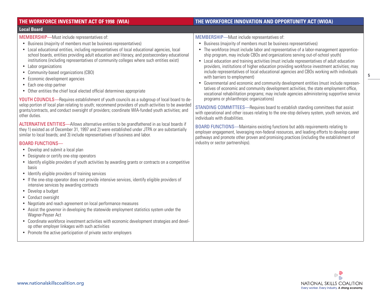| THE WORKFORCE INVESTMENT ACT OF 1998 (WIA)                                                                                                                                                                                                                                                                                                                                                                                                                                                                                                                                                                                                                                                                                                                                                                                                                                                                                                                                                                                                                                                                                                                                                                                                                                                                                                                                                                                                                                                                                                                                                                                                                                                                                                                                                                                                                                                                                                                                                                                                                                                                                                       | THE WORKFORCE INNOVATION AND OPPORTUNITY ACT (WIOA)                                                                                                                                                                                                                                                                                                                                                                                                                                                                                                                                                                                                                                                                                                                                                                                                                                                                                                                                                                                                                                                                                                                                                                                                                                                                                                                                                                                                                                                                          |
|--------------------------------------------------------------------------------------------------------------------------------------------------------------------------------------------------------------------------------------------------------------------------------------------------------------------------------------------------------------------------------------------------------------------------------------------------------------------------------------------------------------------------------------------------------------------------------------------------------------------------------------------------------------------------------------------------------------------------------------------------------------------------------------------------------------------------------------------------------------------------------------------------------------------------------------------------------------------------------------------------------------------------------------------------------------------------------------------------------------------------------------------------------------------------------------------------------------------------------------------------------------------------------------------------------------------------------------------------------------------------------------------------------------------------------------------------------------------------------------------------------------------------------------------------------------------------------------------------------------------------------------------------------------------------------------------------------------------------------------------------------------------------------------------------------------------------------------------------------------------------------------------------------------------------------------------------------------------------------------------------------------------------------------------------------------------------------------------------------------------------------------------------|------------------------------------------------------------------------------------------------------------------------------------------------------------------------------------------------------------------------------------------------------------------------------------------------------------------------------------------------------------------------------------------------------------------------------------------------------------------------------------------------------------------------------------------------------------------------------------------------------------------------------------------------------------------------------------------------------------------------------------------------------------------------------------------------------------------------------------------------------------------------------------------------------------------------------------------------------------------------------------------------------------------------------------------------------------------------------------------------------------------------------------------------------------------------------------------------------------------------------------------------------------------------------------------------------------------------------------------------------------------------------------------------------------------------------------------------------------------------------------------------------------------------------|
| <b>Local Board</b>                                                                                                                                                                                                                                                                                                                                                                                                                                                                                                                                                                                                                                                                                                                                                                                                                                                                                                                                                                                                                                                                                                                                                                                                                                                                                                                                                                                                                                                                                                                                                                                                                                                                                                                                                                                                                                                                                                                                                                                                                                                                                                                               |                                                                                                                                                                                                                                                                                                                                                                                                                                                                                                                                                                                                                                                                                                                                                                                                                                                                                                                                                                                                                                                                                                                                                                                                                                                                                                                                                                                                                                                                                                                              |
| MEMBERSHIP-Must include representatives of:<br>Business (majority of members must be business representatives)<br>• Local educational entities, including representatives of local educational agencies, local<br>school boards, entities providing adult education and literacy, and postsecondary educational<br>institutions (including representatives of community colleges where such entities exist)<br>Labor organizations<br>$\bullet$<br>Community-based organizations (CBO)<br>$\bullet$<br>Economic development agencies<br>Each one-stop partner<br>Other entities the chief local elected official determines appropriate<br>YOUTH COUNCILS—Requires establishment of youth councils as a subgroup of local board to de-<br>velop portion of local plan relating to youth; recommend providers of youth activities to be awarded<br>grants/contracts, and conduct oversight of providers; coordinate WIA-funded youth activities; and<br>other duties.<br>ALTERNATIVE ENTITIES—Allows alternative entities to be grandfathered in as local boards if<br>they 1) existed as of December 31, 1997 and 2) were established under JTPA or are substantially<br>similar to local boards; and 3) include representatives of business and labor.<br><b>BOARD FUNCTIONS-</b><br>• Develop and submit a local plan<br>Designate or certify one-stop operators<br>Identify eligible providers of youth activities by awarding grants or contracts on a competitive<br>basis<br>• Identify eligible providers of training services<br>• If the one-stop operator does not provide intensive services, identify eligible providers of<br>intensive services by awarding contracts<br>• Develop a budget<br>• Conduct oversight<br>Negotiate and reach agreement on local performance measures<br>• Assist the governor in developing the statewide employment statistics system under the<br>Wagner-Peyser Act<br>Coordinate workforce investment activities with economic development strategies and devel-<br>$\bullet$<br>op other employer linkages with such activities<br>• Promote the active participation of private sector employers | MEMBERSHIP-Must include representatives of:<br>Business (majority of members must be business representatives)<br>$\bullet$<br>The workforce (must include labor and representative of a labor-management apprentice-<br>ship program, may include CBOs and organizations serving out-of-school youth)<br>Local education and training activities (must include representatives of adult education<br>$\bullet$<br>providers, institutions of higher education providing workforce investment activities; may<br>include representatives of local educational agencies and CBOs working with individuals<br>with barriers to employment)<br>Governmental and economic and community development entities (must include represen-<br>$\bullet$<br>tatives of economic and community development activities, the state employment office,<br>vocational rehabilitation programs; may include agencies administering supportive service<br>programs or philanthropic organizations)<br>STANDING COMMITTEES-Requires board to establish standing committees that assist<br>with operational and other issues relating to the one-stop delivery system, youth services, and<br>individuals with disabilities.<br>BOARD FUNCTIONS-Maintains existing functions but adds requirements relating to<br>employer engagement, leveraging non-federal resources, and leading efforts to develop career<br>pathways and promote other proven and promising practices (including the establishment of<br>industry or sector partnerships). |
|                                                                                                                                                                                                                                                                                                                                                                                                                                                                                                                                                                                                                                                                                                                                                                                                                                                                                                                                                                                                                                                                                                                                                                                                                                                                                                                                                                                                                                                                                                                                                                                                                                                                                                                                                                                                                                                                                                                                                                                                                                                                                                                                                  |                                                                                                                                                                                                                                                                                                                                                                                                                                                                                                                                                                                                                                                                                                                                                                                                                                                                                                                                                                                                                                                                                                                                                                                                                                                                                                                                                                                                                                                                                                                              |

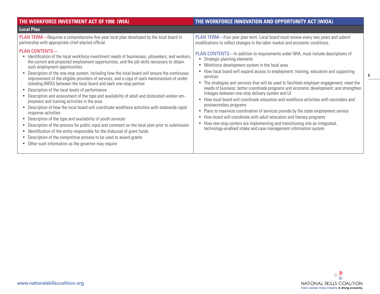| THE WORKFORCE INVESTMENT ACT OF 1998 (WIA)                                                                                                                                                                                                                                                                                                                                                                                                                                                                                                                                                                                                                                                                                                         | THE WORKFORCE INNOVATION AND OPPORTUNITY ACT (WIOA)                                                                                                                                                                                                                                                                                                                                                                                                                                                                                                                                                                                                                                          |
|----------------------------------------------------------------------------------------------------------------------------------------------------------------------------------------------------------------------------------------------------------------------------------------------------------------------------------------------------------------------------------------------------------------------------------------------------------------------------------------------------------------------------------------------------------------------------------------------------------------------------------------------------------------------------------------------------------------------------------------------------|----------------------------------------------------------------------------------------------------------------------------------------------------------------------------------------------------------------------------------------------------------------------------------------------------------------------------------------------------------------------------------------------------------------------------------------------------------------------------------------------------------------------------------------------------------------------------------------------------------------------------------------------------------------------------------------------|
| <b>Local Plan</b>                                                                                                                                                                                                                                                                                                                                                                                                                                                                                                                                                                                                                                                                                                                                  |                                                                                                                                                                                                                                                                                                                                                                                                                                                                                                                                                                                                                                                                                              |
| <b>PLAN TERM</b> —Requires a comprehensive five-year local plan developed by the local board in<br>partnership with appropriate chief elected official.<br><b>PLAN CONTENTS-</b><br>Identification of the local workforce investment needs of businesses, jobseekers, and workers,<br>$\bullet$<br>the current and projected employment opportunities, and the job skills necessary to obtain<br>such employment opportunities<br>Description of the one-stop system, including how the local board will ensure the continuous<br>improvement of the eligible providers of services, and a copy of each memorandum of under-<br>standing (MOU) between the local board and each one-stop partner<br>Description of the local levels of performance | PLAN TERM-Four year plan term. Local board must review every two years and submit<br>modifications to reflect changes in the labor market and economic conditions.<br>PLAN CONTENTS—In addition to requirements under WIA, must include descriptions of:<br>Strategic planning elements<br>• Workforce development system in the local area<br>• How local board will expand access to employment, training, education and supporting<br>services<br>The strategies and services that will be used to facilitate employer engagement; meet the<br>needs of business; better coordinate programs and economic development; and strengthen<br>linkages between one-stop delivery system and UI |
| Description and assessment of the type and availability of adult and dislocated worker em-<br>ployment and training activities in the area<br>Description of how the local board will coordinate workforce activities with statewide rapid<br>response activities<br>Description of the type and availability of youth services<br>$\bullet$<br>Description of the process for public input and comment on the local plan prior to submission<br>Identification of the entity responsible for the disbursal of grant funds<br>$\bullet$<br>Description of the competitive process to be used to award grants<br>Other such information as the governor may require                                                                                 | • How local board will coordinate education and workforce activities with secondary and<br>postsecondary programs<br>• Plans to maximize coordination of services provide by the state employment service<br>How board will coordinate with adult education and literacy programs<br>• How one-stop centers are implementing and transitioning into an integrated,<br>technology-enabled intake and case management information system                                                                                                                                                                                                                                                       |

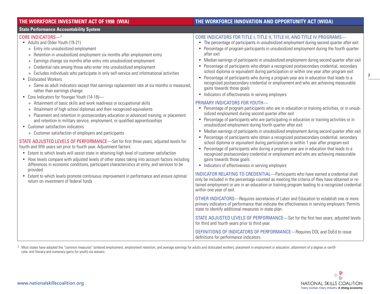### **THE WORKFORCE INVESTMENT ACT OF 1998 (WIA) THE WORKFORCE INNOVATION AND OPPORTUNITY ACT (WIOA) State Performance Accountability System**  CORE INDICATORS—3 • Adults and Older Youth (19-21) » Entry into unsubsidized employment » Retention in unsubsidized employment six months after employment entry » Earnings change six months after entry into unsubsidized employment » Credential rate among those who enter into unsubsidized employment » Excludes individuals who participate in only self-service and informational activities • Dislocated Workers » Same as adult indicators except that earnings replacement rate at six months is measured, rather than earnings change. • Core Indicators for Younger Youth (14-18)-» Attainment of basic skills and work readiness or occupational skills » Attainment of high school diplomas and their recognized equivalents » Placement and retention in postsecondary education or advanced training, or placement and retention in military service, employment, or qualified apprenticeships • Customer satisfaction indicators CORE INDICATORS FOR TITLE I, TITLE II, TITLE III, AND TITLE IV PROGRAMS— • The percentage of participants in unsubsidized employment during second quarter after exit • Percentage of program participants in unsubsidized employment during the fourth quarter after exit • Median earnings of participants in unsubsidized employment during second quarter after exit school diploma or equivalent during participation or within one year after program exit • Percentage of participants who during a program year are in education that leads to a recognized postsecondary credential or employment and who are achieving measurable gains towards those goals • Indicators of effectiveness in serving employers PRIMARY INDICATORS FOR YOUTH— • Percentage of program participants who are in education or training activities, or in unsubsidized employment during second quarter after exit • Percentage of participants who are participating in education or training activities or in unsubsidized employment during fourth quarter after exit

» Customer satisfaction of employers and participants

STATE ADJUSTED LEVELS OF PERFORMANCE—Set for first three years; adjusted levels for fourth and fifth years set prior to fourth year. Adjustment factors:

- Extent to which levels will assist state in attaining high level of customer satisfaction
- How levels compare with adjusted levels of other states taking into account factors including differences in economic conditions, participant characteristics at entry, and services to be provided
- Extent to which levels promote continuous improvement in performance and ensure optimal return on investment of federal funds
- 
- 
- 
- Percentage of participants who obtain a recognized postsecondary credential, secondary

- 
- Median earnings of participants in unsubsidized employment during second quarter after exit
- Percentage of participants who obtain a recognized postsecondary credential, secondary school diploma or equivalent during participation or within 1 year after program exit
- Percentage of participants who during a program year are in education that leads to a recognized postsecondary credential or employment and who are achieving measurable gains towards those goals
- Indicators of effectiveness in serving employers

INDICATOR RELATING TO CREDENTIAL—Participants who have earned a credential shall only be included in the percentage counted as meeting the criteria of they have obtained or retained employment or are in an education or training program leading to a recognized credential within one year of exit.

OTHER INDICATORS—Requires secretaries of Labor and Education to establish one or more primary indicators of performance that indicate the effectiveness in serving employers. Permits state to identify additional measures in state plan.

STATE ADJUSTED LEVELS OF PERFORMANCE—Set for the first two years; adjusted levels for third and fourth years prior to third year.

DEFINITIONS OF INDICATORS OF PERFORMANCE—Requires DOL and DoEd to issue definitions for performance indicators.

<sup>3</sup> Most states have adopted the "common measures" (entered employment, employment retention, and average earnings for adults and dislocated workers; placement in employment or education, attainment of a degree or certificate, and literacy and numeracy gains for youth) via waivers.

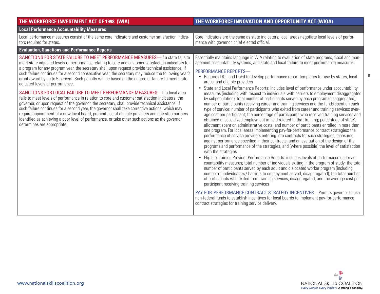| THE WORKFORCE INVESTMENT ACT OF 1998 (WIA)                                                                                                                                                                                                                                                                                                                                                                                                                                                                                                                                                                                                                                                                                                                                                                                                                                                                                                                                                                                                                                                                                                                              | THE WORKFORCE INNOVATION AND OPPORTUNITY ACT (WIOA)                                                                                                                                                                                                                                                                                                                                                                                                                                                                                                                                                                                                                                                                                                                                                                                                                                                                                                                                                                                                                                                                                                                                                                                                                                                                                                                                                                                                                                                                                                                                                                                                                                                                                                                                                                                                                                                                                                                                                                                                                                                                                                                                                                                                                                                                 |
|-------------------------------------------------------------------------------------------------------------------------------------------------------------------------------------------------------------------------------------------------------------------------------------------------------------------------------------------------------------------------------------------------------------------------------------------------------------------------------------------------------------------------------------------------------------------------------------------------------------------------------------------------------------------------------------------------------------------------------------------------------------------------------------------------------------------------------------------------------------------------------------------------------------------------------------------------------------------------------------------------------------------------------------------------------------------------------------------------------------------------------------------------------------------------|---------------------------------------------------------------------------------------------------------------------------------------------------------------------------------------------------------------------------------------------------------------------------------------------------------------------------------------------------------------------------------------------------------------------------------------------------------------------------------------------------------------------------------------------------------------------------------------------------------------------------------------------------------------------------------------------------------------------------------------------------------------------------------------------------------------------------------------------------------------------------------------------------------------------------------------------------------------------------------------------------------------------------------------------------------------------------------------------------------------------------------------------------------------------------------------------------------------------------------------------------------------------------------------------------------------------------------------------------------------------------------------------------------------------------------------------------------------------------------------------------------------------------------------------------------------------------------------------------------------------------------------------------------------------------------------------------------------------------------------------------------------------------------------------------------------------------------------------------------------------------------------------------------------------------------------------------------------------------------------------------------------------------------------------------------------------------------------------------------------------------------------------------------------------------------------------------------------------------------------------------------------------------------------------------------------------|
| <b>Local Performance Accountability Measures</b>                                                                                                                                                                                                                                                                                                                                                                                                                                                                                                                                                                                                                                                                                                                                                                                                                                                                                                                                                                                                                                                                                                                        |                                                                                                                                                                                                                                                                                                                                                                                                                                                                                                                                                                                                                                                                                                                                                                                                                                                                                                                                                                                                                                                                                                                                                                                                                                                                                                                                                                                                                                                                                                                                                                                                                                                                                                                                                                                                                                                                                                                                                                                                                                                                                                                                                                                                                                                                                                                     |
| Local performance measures consist of the same core indicators and customer satisfaction indica-<br>tors required for states.                                                                                                                                                                                                                                                                                                                                                                                                                                                                                                                                                                                                                                                                                                                                                                                                                                                                                                                                                                                                                                           | Core indicators are the same as state indicators; local areas negotiate local levels of perfor-<br>mance with governor, chief elected official.                                                                                                                                                                                                                                                                                                                                                                                                                                                                                                                                                                                                                                                                                                                                                                                                                                                                                                                                                                                                                                                                                                                                                                                                                                                                                                                                                                                                                                                                                                                                                                                                                                                                                                                                                                                                                                                                                                                                                                                                                                                                                                                                                                     |
| <b>Evaluation, Sanctions and Performance Reports</b>                                                                                                                                                                                                                                                                                                                                                                                                                                                                                                                                                                                                                                                                                                                                                                                                                                                                                                                                                                                                                                                                                                                    |                                                                                                                                                                                                                                                                                                                                                                                                                                                                                                                                                                                                                                                                                                                                                                                                                                                                                                                                                                                                                                                                                                                                                                                                                                                                                                                                                                                                                                                                                                                                                                                                                                                                                                                                                                                                                                                                                                                                                                                                                                                                                                                                                                                                                                                                                                                     |
| SANCTIONS FOR STATE FAILURE TO MEET PERFORMANCE MEASURES—If a state fails to<br>meet state adjusted levels of performance relating to core and customer satisfaction indicators for<br>a program for any program year, the secretary shall upon request provide technical assistance. If<br>such failure continues for a second consecutive year, the secretary may reduce the following year's<br>grant award by up to 5 percent. Such penalty will be based on the degree of failure to meet state<br>adjusted levels of performance.<br>SANCTIONS FOR LOCAL FAILURE TO MEET PERFORMANCE MEASURES-If a local area<br>fails to meet levels of performance in relation to core and customer satisfaction indicators, the<br>governor, or upon request of the governor, the secretary, shall provide technical assistance. If<br>such failure continues for a second year, the governor shall take corrective actions, which may<br>require appointment of a new local board, prohibit use of eligible providers and one-stop partners<br>identified as achieving a poor level of performance, or take other such actions as the governor<br>determines are appropriate. | Essentially maintains language in WIA relating to evaluation of state programs, fiscal and man-<br>agement accountability systems, and state and local failure to meet performance measures.<br>PERFORMANCE REPORTS-<br>• Requires DOL and DoEd to develop performance report templates for use by states, local<br>areas, and eligible providers<br>State and Local Performance Reports: includes level of performance under accountability<br>$\bullet$<br>measures (including with respect to individuals with barriers to employment disaggregated<br>by subpopulation); total number of participants served by each program (disaggregated);<br>number of participants receiving career and training services and the funds spent on each<br>type of service; number of participants who exited from career and training services; aver-<br>age cost per participant; the percentage of participants who received training services and<br>obtained unsubsidized employment in field related to that training; percentage of state's<br>allotment spent on administrative costs; and number of participants enrolled in more than<br>one program. For local areas implementing pay-for-performance contract strategies: the<br>performance of service providers entering into contracts for such strategies, measured<br>against performance specified in their contracts; and an evaluation of the design of the<br>programs and performance of the strategies, and (where possible) the level of satisfaction<br>with the strategies<br>Eligible Training Provider Performance Reports: includes levels of performance under ac-<br>$\bullet$<br>countability measures; total number of individuals exiting in the program of study; the total<br>number of participants served by each adult and dislocated worker program (including<br>number of individuals w/ barriers to employment served, disaggregated); the total number<br>of participants who exited from training services, disaggregated; and the average cost per<br>participant receiving training services<br>PAY-FOR-PERFORMANCE CONTRACT STRATEGY INCENTIVES-Permits governor to use<br>non-federal funds to establish incentives for local boards to implement pay-for-performance<br>contract strategies for training service delivery. |

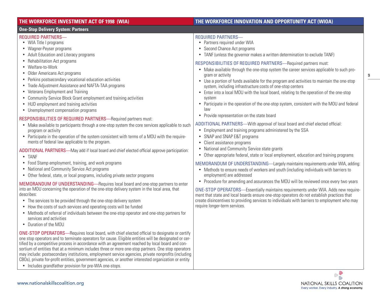| THE WORKFORCE INVESTMENT ACT OF 1998 (WIA)                                                                                                                                                                                                                                                                                                                                                                                                                                                                                                                                                                                                                                                                                                                                                                                                                                                                                                                                                                                                                                                                                                                                                                                                                                                                                                                                               | THE WORKFORCE INNOVATION AND OPPORTUNITY ACT (WIOA)                                                                                                                                                                                                                                                                                                                                                                                                                                                                                                                                                                                                                                                                                                                                                                                                                                                                                                                                                                                                                                                                                                                                                                                                                                                                                                                                                                                                                                                                                                                                                                                                                        |
|------------------------------------------------------------------------------------------------------------------------------------------------------------------------------------------------------------------------------------------------------------------------------------------------------------------------------------------------------------------------------------------------------------------------------------------------------------------------------------------------------------------------------------------------------------------------------------------------------------------------------------------------------------------------------------------------------------------------------------------------------------------------------------------------------------------------------------------------------------------------------------------------------------------------------------------------------------------------------------------------------------------------------------------------------------------------------------------------------------------------------------------------------------------------------------------------------------------------------------------------------------------------------------------------------------------------------------------------------------------------------------------|----------------------------------------------------------------------------------------------------------------------------------------------------------------------------------------------------------------------------------------------------------------------------------------------------------------------------------------------------------------------------------------------------------------------------------------------------------------------------------------------------------------------------------------------------------------------------------------------------------------------------------------------------------------------------------------------------------------------------------------------------------------------------------------------------------------------------------------------------------------------------------------------------------------------------------------------------------------------------------------------------------------------------------------------------------------------------------------------------------------------------------------------------------------------------------------------------------------------------------------------------------------------------------------------------------------------------------------------------------------------------------------------------------------------------------------------------------------------------------------------------------------------------------------------------------------------------------------------------------------------------------------------------------------------------|
| <b>One-Stop Delivery System: Partners</b>                                                                                                                                                                                                                                                                                                                                                                                                                                                                                                                                                                                                                                                                                                                                                                                                                                                                                                                                                                                                                                                                                                                                                                                                                                                                                                                                                |                                                                                                                                                                                                                                                                                                                                                                                                                                                                                                                                                                                                                                                                                                                                                                                                                                                                                                                                                                                                                                                                                                                                                                                                                                                                                                                                                                                                                                                                                                                                                                                                                                                                            |
| <b>REQUIRED PARTNERS-</b><br>• WIA Title I programs<br>• Wagner-Peyser programs<br>• Adult Education and Literacy programs<br>• Rehabilitation Act programs<br>• Welfare-to-Work<br>• Older Americans Act programs<br>• Perkins postsecondary vocational education activities<br>• Trade Adjustment Assistance and NAFTA-TAA programs<br>• Veterans Employment and Training<br>• Community Service Block Grant employment and training activities<br>• HUD employment and training activities<br>• Unemployment compensation programs<br>RESPONSIBILITIES OF REQUIRED PARTNERS-Required partners must:<br>• Make available to participants through a one-stop system the core services applicable to such<br>program or activity<br>• Participate in the operation of the system consistent with terms of a MOU with the require-<br>ments of federal law applicable to the program.<br>ADDITIONAL PARTNERS-May add if local board and chief elected official approve participation:<br>• TANF<br>• Food Stamp employment, training, and work programs<br>• National and Community Service Act programs<br>• Other federal, state, or local programs, including private sector programs<br>MEMORANDUM OF UNDERSTANDING-Requires local board and one-stop partners to enter<br>into an MOU concerning the operation of the one-stop delivery system in the local area, that<br>describes: | <b>REQUIRED PARTNERS-</b><br>• Partners required under WIA<br>• Second Chance Act programs<br>• TANF (unless the governor makes a written determination to exclude TANF)<br>RESPONSIBILITIES OF REQUIRED PARTNERS-Required partners must:<br>• Make available through the one-stop system the career services applicable to such pro-<br>gram or activity<br>• Use a portion of funds available for the program and activities to maintain the one-stop<br>system, including infrastructure costs of one-stop centers<br>• Enter into a local MOU with the local board, relating to the operation of the one-stop<br>system<br>• Participate in the operation of the one-stop system, consistent with the MOU and federal<br>law<br>Provide representation on the state board<br>$\bullet$<br>ADDITIONAL PARTNERS-With approval of local board and chief elected official:<br>• Employment and training programs administered by the SSA<br>• SNAP and SNAP E&T programs<br>Client assistance programs<br>$\bullet$<br>National and Community Service state grants<br>$\bullet$<br>Other appropriate federal, state or local employment, education and training programs<br>$\bullet$<br>MEMORANDUM OF UNDERSTANDING—Largely maintains requirements under WIA, adding:<br>• Methods to ensure needs of workers and youth (including individuals with barriers to<br>employment) are addressed<br>• Procedure for amending and assurances the MOU will be reviewed once every two years<br>ONE-STOP OPERATORS-Essentially maintains requirements under WIA. Adds new require-<br>ment that state and local boards ensure one-stop operators do not establish practices that |
| • The services to be provided through the one-stop delivery system<br>• How the costs of such services and operating costs will be funded<br>• Methods of referral of individuals between the one-stop operator and one-stop partners for<br>services and activities<br>• Duration of the MOU                                                                                                                                                                                                                                                                                                                                                                                                                                                                                                                                                                                                                                                                                                                                                                                                                                                                                                                                                                                                                                                                                            | create disincentives to providing services to individuals with barriers to employment who may<br>require longer-term services.                                                                                                                                                                                                                                                                                                                                                                                                                                                                                                                                                                                                                                                                                                                                                                                                                                                                                                                                                                                                                                                                                                                                                                                                                                                                                                                                                                                                                                                                                                                                             |
| <b>ONE-STOP OPERATORS</b> —Requires local board, with chief elected official to designate or certify<br>one stop operators and to terminate operators for cause. Eligible entities will be designated or cer-<br>tified by a competitive process in accordance with an agreement reached by local board and con-<br>sortium of entities that at a minimum includes three or more one-stop partners. One stop operators<br>may include: postsecondary institutions, employment service agencies, private nonprofits (including<br>CBOs), private for-profit entities, government agencies, or another interested organization or entity                                                                                                                                                                                                                                                                                                                                                                                                                                                                                                                                                                                                                                                                                                                                                   |                                                                                                                                                                                                                                                                                                                                                                                                                                                                                                                                                                                                                                                                                                                                                                                                                                                                                                                                                                                                                                                                                                                                                                                                                                                                                                                                                                                                                                                                                                                                                                                                                                                                            |



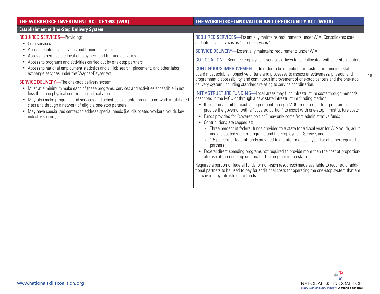| THE WORKFORCE INVESTMENT ACT OF 1998 (WIA)                                                                                                                                                                                                                                                                                                                                                                                                                                                                                                                                                                                                                                                                                                                                                                                                                                                         | THE WORKFORCE INNOVATION AND OPPORTUNITY ACT (WIOA)                                                                                                                                                                                                                                                                                                                                                                                                                                                                                                                                                                                                                                                                                                                                                                                                                                                                                                                                                                                                                                                                                                                                                                                                                                                                                                                                                                                                                                                                                                                                                                                                                                                                                                                                             |
|----------------------------------------------------------------------------------------------------------------------------------------------------------------------------------------------------------------------------------------------------------------------------------------------------------------------------------------------------------------------------------------------------------------------------------------------------------------------------------------------------------------------------------------------------------------------------------------------------------------------------------------------------------------------------------------------------------------------------------------------------------------------------------------------------------------------------------------------------------------------------------------------------|-------------------------------------------------------------------------------------------------------------------------------------------------------------------------------------------------------------------------------------------------------------------------------------------------------------------------------------------------------------------------------------------------------------------------------------------------------------------------------------------------------------------------------------------------------------------------------------------------------------------------------------------------------------------------------------------------------------------------------------------------------------------------------------------------------------------------------------------------------------------------------------------------------------------------------------------------------------------------------------------------------------------------------------------------------------------------------------------------------------------------------------------------------------------------------------------------------------------------------------------------------------------------------------------------------------------------------------------------------------------------------------------------------------------------------------------------------------------------------------------------------------------------------------------------------------------------------------------------------------------------------------------------------------------------------------------------------------------------------------------------------------------------------------------------|
| <b>Establishment of One-Stop Delivery System</b>                                                                                                                                                                                                                                                                                                                                                                                                                                                                                                                                                                                                                                                                                                                                                                                                                                                   |                                                                                                                                                                                                                                                                                                                                                                                                                                                                                                                                                                                                                                                                                                                                                                                                                                                                                                                                                                                                                                                                                                                                                                                                                                                                                                                                                                                                                                                                                                                                                                                                                                                                                                                                                                                                 |
| <b>REQUIRED SERVICES-Providing:</b><br>• Core services<br>• Access to intensive services and training services<br>Access to permissible local employment and training activities<br>Access to programs and activities carried out by one-stop partners<br>Access to national employment statistics and all job search, placement, and other labor<br>exchange services under the Wagner-Peyser Act<br><b>SERVICE DELIVERY</b> —The one-stop delivery system:<br>• Must at a minimum make each of these programs, services and activities accessible in not<br>less than one physical center in each local area<br>• May also make programs and services and activities available through a network of affiliated<br>sites and through a network of eligible one-stop partners<br>• May have specialized centers to address special needs (i.e. dislocated workers, youth, key<br>industry sectors) | REQUIRED SERVICES—Essentially maintains requirements under WIA. Consolidates core<br>and intensive services as "career services."<br>SERVICE DELIVERY—Essentially maintains requirements under WIA.<br>CO-LOCATION—Requires employment services offices to be collocated with one-stop centers.<br>CONTINUOUS IMPROVEMENT-In order to be eligible for infrastructure funding, state<br>board must establish objective criteria and processes to assess effectiveness, physical and<br>programmatic accessibility, and continuous improvement of one-stop centers and the one-stop<br>delivery system, including standards relating to service coordination.<br>INFRASTRUCTURE FUNDING-Local areas may fund infrastructure costs through methods<br>described in the MOU or through a new state infrastructure funding method.<br>• If local areas fail to reach an agreement through MOU, required partner programs most<br>provide the governor with a "covered portion" to assist with one-stop infrastructure costs<br>• Funds provided for "covered portion" may only come from administrative funds<br>• Contributions are capped at:<br>» Three percent of federal funds provided to a state for a fiscal year for WIA youth, adult,<br>and dislocated worker programs and the Employment Service; and<br>» 1.5 percent of federal funds provided to a state for a fiscal year for all other required<br>partners<br>• Federal direct spending programs not required to provide more than the cost of proportion-<br>ate use of the one-stop centers for the program in the state<br>Requires a portion of federal funds (or non-cash resources) made available to required or addi-<br>tional partners to be used to pay for additional costs for operating the one-stop system that are |
|                                                                                                                                                                                                                                                                                                                                                                                                                                                                                                                                                                                                                                                                                                                                                                                                                                                                                                    | not covered by infrastructure funds                                                                                                                                                                                                                                                                                                                                                                                                                                                                                                                                                                                                                                                                                                                                                                                                                                                                                                                                                                                                                                                                                                                                                                                                                                                                                                                                                                                                                                                                                                                                                                                                                                                                                                                                                             |

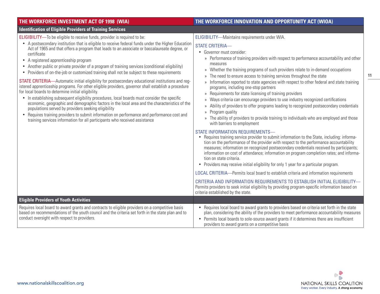| THE WORKFORCE INVESTMENT ACT OF 1998 (WIA)                                                                                                                                                                                                                                                                                                                                                                                                                                                                                                                                                                                                                                                                                                                                                                                                                                                                                                                                                                                                                                                                                                                                                                                                                  | THE WORKFORCE INNOVATION AND OPPORTUNITY ACT (WIOA)                                                                                                                                                                                                                                                                                                                                                                                                                                                                                                                                                                                                                                                                                                                                                                                                                                                                                                                                 |
|-------------------------------------------------------------------------------------------------------------------------------------------------------------------------------------------------------------------------------------------------------------------------------------------------------------------------------------------------------------------------------------------------------------------------------------------------------------------------------------------------------------------------------------------------------------------------------------------------------------------------------------------------------------------------------------------------------------------------------------------------------------------------------------------------------------------------------------------------------------------------------------------------------------------------------------------------------------------------------------------------------------------------------------------------------------------------------------------------------------------------------------------------------------------------------------------------------------------------------------------------------------|-------------------------------------------------------------------------------------------------------------------------------------------------------------------------------------------------------------------------------------------------------------------------------------------------------------------------------------------------------------------------------------------------------------------------------------------------------------------------------------------------------------------------------------------------------------------------------------------------------------------------------------------------------------------------------------------------------------------------------------------------------------------------------------------------------------------------------------------------------------------------------------------------------------------------------------------------------------------------------------|
| <b>Identification of Eligible Providers of Training Services</b>                                                                                                                                                                                                                                                                                                                                                                                                                                                                                                                                                                                                                                                                                                                                                                                                                                                                                                                                                                                                                                                                                                                                                                                            |                                                                                                                                                                                                                                                                                                                                                                                                                                                                                                                                                                                                                                                                                                                                                                                                                                                                                                                                                                                     |
| <b>ELIGIBILITY</b> —To be eligible to receive funds, provider is required to be:<br>• A postsecondary institution that is eligible to receive federal funds under the Higher Education<br>Act of 1965 and that offers a program that leads to an associate or baccalaureate degree, or<br>certificate<br>• A registered apprenticeship program<br>• Another public or private provider of a program of training services (conditional eligibility)<br>Providers of on-the-job or customized training shall not be subject to these requirements<br><b>STATE CRITERIA</b> —Automatic initial eligibility for postsecondary educational institutions and reg-<br>istered apprenticeship programs. For other eligible providers, governor shall establish a procedure<br>for local boards to determine initial eligibility.<br>• In establishing subsequent eligibility procedures, local boards must consider the specific<br>economic, geographic and demographic factors in the local area and the characteristics of the<br>populations served by providers seeking eligibility<br>Requires training providers to submit information on performance and performance cost and<br>training services information for all participants who received assistance | ELIGIBILITY-Maintains requirements under WIA.<br><b>STATE CRITERIA-</b><br>· Governor must consider:<br>» Performance of training providers with respect to performance accountability and other<br>measures<br>Whether the training programs of such providers relate to in-demand occupations<br>$\mathcal{Y}$<br>The need to ensure access to training services throughout the state<br>$\rangle$<br>Information reported to state agencies with respect to other federal and state training<br>$\rangle$<br>programs, including one-stop partners<br>» Requirements for state licensing of training providers<br>Ways criteria can encourage providers to use industry recognized certifications<br>X)<br>Ability of providers to offer programs leading to recognized postsecondary credentials<br>$\rangle$<br>Program quality<br>$\rangle\!\rangle$<br>The ability of providers to provide training to individuals who are employed and those<br>with barriers to employment |
|                                                                                                                                                                                                                                                                                                                                                                                                                                                                                                                                                                                                                                                                                                                                                                                                                                                                                                                                                                                                                                                                                                                                                                                                                                                             | STATE INFORMATION REQUIREMENTS-<br>• Requires training service provider to submit information to the State, including: informa-<br>tion on the performance of the provider with respect to the performance accountability<br>measures; information on recognized postsecondary credentials received by participants;<br>information on cost of attendance; information on program completion rates; and informa-<br>tion on state criteria.<br>• Providers may receive initial eligibility for only 1 year for a particular program.<br>LOCAL CRITERIA-Permits local board to establish criteria and information requirements<br>CRITERIA AND INFORMATION REQUIREMENTS TO ESTABLISH INITIAL ELIGIBILITY-<br>Permits providers to seek initial eligibility by providing program-specific information based on<br>criteria established by the state.                                                                                                                                  |
| <b>Eligible Providers of Youth Activities</b>                                                                                                                                                                                                                                                                                                                                                                                                                                                                                                                                                                                                                                                                                                                                                                                                                                                                                                                                                                                                                                                                                                                                                                                                               |                                                                                                                                                                                                                                                                                                                                                                                                                                                                                                                                                                                                                                                                                                                                                                                                                                                                                                                                                                                     |
| Requires local board to award grants and contracts to eligible providers on a competitive basis<br>based on recommendations of the youth council and the criteria set forth in the state plan and to<br>conduct oversight with respect to providers.                                                                                                                                                                                                                                                                                                                                                                                                                                                                                                                                                                                                                                                                                                                                                                                                                                                                                                                                                                                                        | Requires local board to award grants to providers based on criteria set forth in the state<br>$\bullet$<br>plan, considering the ability of the providers to meet performance accountability measures<br>Permits local boards to sole-source award grants if it determines there are insufficient<br>$\bullet$<br>providers to award grants on a competitive basis                                                                                                                                                                                                                                                                                                                                                                                                                                                                                                                                                                                                                  |

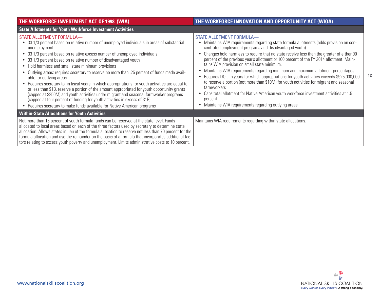| <b>THE WORKFORCE INVESTMENT ACT OF 1998 (WIA)</b>                                                                                                                                                                                                                                                                                                                                                                                                                                                                                                                                                                                                                                                                                                                                                                                                                                                                                    | THE WORKFORCE INNOVATION AND OPPORTUNITY ACT (WIOA)                                                                                                                                                                                                                                                                                                                                                                                                                                                                                                                                                                                                                                                                                                                                                                                                                      |
|--------------------------------------------------------------------------------------------------------------------------------------------------------------------------------------------------------------------------------------------------------------------------------------------------------------------------------------------------------------------------------------------------------------------------------------------------------------------------------------------------------------------------------------------------------------------------------------------------------------------------------------------------------------------------------------------------------------------------------------------------------------------------------------------------------------------------------------------------------------------------------------------------------------------------------------|--------------------------------------------------------------------------------------------------------------------------------------------------------------------------------------------------------------------------------------------------------------------------------------------------------------------------------------------------------------------------------------------------------------------------------------------------------------------------------------------------------------------------------------------------------------------------------------------------------------------------------------------------------------------------------------------------------------------------------------------------------------------------------------------------------------------------------------------------------------------------|
| <b>State Allotments for Youth Workforce Investment Activities</b>                                                                                                                                                                                                                                                                                                                                                                                                                                                                                                                                                                                                                                                                                                                                                                                                                                                                    |                                                                                                                                                                                                                                                                                                                                                                                                                                                                                                                                                                                                                                                                                                                                                                                                                                                                          |
| STATE ALLOTMENT FORMULA-<br>33 1/3 percent based on relative number of unemployed individuals in areas of substantial<br>unemployment<br>• 33 1/3 percent based on relative excess number of unemployed individuals<br>• 33 1/3 percent based on relative number of disadvantaged youth<br>• Hold harmless and small state minimum provisions<br>• Outlying areas: requires secretary to reserve no more than .25 percent of funds made avail-<br>able for outlying areas<br>• Requires secretary to, in fiscal years in which appropriations for youth activities are equal to<br>or less than \$1B, reserve a portion of the amount appropriated for youth opportunity grants<br>(capped at \$250M) and youth activities under migrant and seasonal farmworker programs<br>(capped at four percent of funding for youth activities in excess of \$1B)<br>• Requires secretary to make funds available for Native American programs | STATE ALLOTMENT FORMULA-<br>Maintains WIA requirements regarding state formula allotments (adds provision on con-<br>centrated employment programs and disadvantaged youth)<br>Changes hold harmless to require that no state receive less than the greater of either 90<br>percent of the previous year's allotment or 100 percent of the FY 2014 allotment. Main-<br>tains WIA provision on small state minimum.<br>Maintains WIA requirements regarding minimum and maximum allotment percentages<br>Requires DOL, in years for which appropriations for youth activities exceeds \$925,000,000<br>to reserve a portion (not more than \$10M) for youth activities for migrant and seasonal<br>farmworkers<br>Caps total allotment for Native American youth workforce investment activities at 1.5<br>percent<br>Maintains WIA requirements regarding outlying areas |
| <b>Within-State Allocations for Youth Activities</b>                                                                                                                                                                                                                                                                                                                                                                                                                                                                                                                                                                                                                                                                                                                                                                                                                                                                                 |                                                                                                                                                                                                                                                                                                                                                                                                                                                                                                                                                                                                                                                                                                                                                                                                                                                                          |
| Not more than 15 percent of youth formula funds can be reserved at the state level. Funds<br>allocated to local areas based on each of the three factors used by secretary to determine state<br>allocation. Allows states in lieu of the formula allocation to reserve not less than 70 percent for the<br>formula allocation and use the remainder on the basis of a formula that incorporates additional fac-<br>tors relating to excess youth poverty and unemployment. Limits administrative costs to 10 percent.                                                                                                                                                                                                                                                                                                                                                                                                               | Maintains WIA requirements regarding within state allocations.                                                                                                                                                                                                                                                                                                                                                                                                                                                                                                                                                                                                                                                                                                                                                                                                           |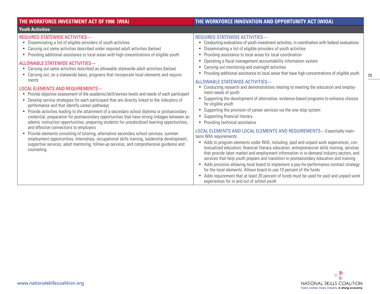### **Youth Activities**

### REQUIRED STATEWIDE ACTIVITIES—

- Disseminating a list of eligible providers of youth activities
- Carrying out same activities described under required adult activities (below)
- Providing additional assistance to local areas with high concentrations of eligible youth

### ALLOWABLE STATEWIDE ACTIVITIES—

- Carrying out same activities described as allowable statewide adult activities (below)
- Carrying out, on a statewide basis, programs that incorporate local elements and requirements

### LOCAL ELEMENTS AND REQUIREMENTS—

- Provide objective assessment of the academic/skill/service levels and needs of each participant
- Develop service strategies for each participant that are directly linked to the indicators of performance and that identify career pathways
- Provide activities leading to the attainment of a secondary school diploma or postsecondary credential, preparation for postsecondary opportunities that have strong linkages between academic instruction opportunities, preparing students for unsubsidized learning opportunities, and effective connections to employers
- Provide elements consisting of tutoring, alternative secondary school services, summer employment opportunities, internships, occupational skills training, leadership development, supportive services, adult mentoring, follow-up services, and comprehensive guidance and counseling

### **THE WORKFORCE INVESTMENT ACT OF 1998 (WIA) THE WORKFORCE INNOVATION AND OPPORTUNITY ACT (WIOA)**

### REQUIRED STATEWIDE ACTIVITIES—

- Conducting evaluations of youth investment activities, in coordination with federal evaluations
- Disseminating a list of eligible providers of youth activities
- Providing assistance to local areas for local coordination
- Operating a fiscal management accountability information system
- Carrying out monitoring and oversight activities
- Providing additional assistance to local areas that have high concentrations of eligible youth

### ALLOWABLE STATEWIDE ACTIVITIES—

- Conducting research and demonstrations relating to meeting the education and employment needs of youth
- Supporting the development of alternative, evidence-based programs to enhance choices for eligible youth
- Supporting the provision of career services via the one-stop system
- Supporting financial literacy
- Providing technical assistance

### LOCAL ELEMENTS AND LOCAL ELEMENTS AND REQUIREMENTS—Essentially maintains WIA requirements.

- Adds to program elements under WIA, including: paid and unpaid work experiences, contextualized education, financial literacy education, entrepreneurial skills training, services that provide labor market and employment information in in-demand industry sectors, and services that help youth prepare and transition to postsecondary education and training
- Adds provision allowing local board to implement a pay-for-performance contract strategy for the local elements. Allows board to use 10 percent of the funds
- Adds requirement that at least 20 percent of funds must be used for paid and unpaid work experiences for in and out of school youth

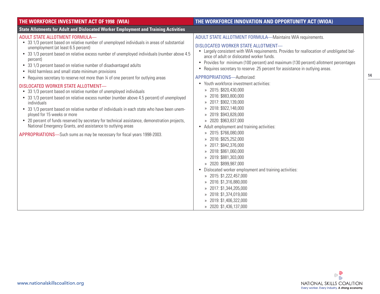| THE WORKFORCE INVESTMENT ACT OF 1998 (WIA)                                                                                                                                                                                                                                                                                                                                                                                                                                                                                                                                                                                                                                                                                                                                                                                                                                                                                                                                                                                                                                                           | THE WORKFORCE INNOVATION AND OPPORTUNITY ACT (WIOA)                                                                                                                                                                                                                                                                                                                                                                                                                                                                                                                                                                                                                                                                                                                                                                                                                                                                                                                                                                                                                                       |
|------------------------------------------------------------------------------------------------------------------------------------------------------------------------------------------------------------------------------------------------------------------------------------------------------------------------------------------------------------------------------------------------------------------------------------------------------------------------------------------------------------------------------------------------------------------------------------------------------------------------------------------------------------------------------------------------------------------------------------------------------------------------------------------------------------------------------------------------------------------------------------------------------------------------------------------------------------------------------------------------------------------------------------------------------------------------------------------------------|-------------------------------------------------------------------------------------------------------------------------------------------------------------------------------------------------------------------------------------------------------------------------------------------------------------------------------------------------------------------------------------------------------------------------------------------------------------------------------------------------------------------------------------------------------------------------------------------------------------------------------------------------------------------------------------------------------------------------------------------------------------------------------------------------------------------------------------------------------------------------------------------------------------------------------------------------------------------------------------------------------------------------------------------------------------------------------------------|
| <b>State Allotments for Adult and Dislocated Worker Employment and Training Activities</b>                                                                                                                                                                                                                                                                                                                                                                                                                                                                                                                                                                                                                                                                                                                                                                                                                                                                                                                                                                                                           |                                                                                                                                                                                                                                                                                                                                                                                                                                                                                                                                                                                                                                                                                                                                                                                                                                                                                                                                                                                                                                                                                           |
| ADULT STATE ALLOTMENT FORMULA-<br>• 33 1/3 percent based on relative number of unemployed individuals in areas of substantial<br>unemployment (at least 6.5 percent)<br>• 33 1/3 percent based on relative excess number of unemployed individuals (number above 4.5<br>percent)<br>• 33 1/3 percent based on relative number of disadvantaged adults<br>• Hold harmless and small state minimum provisions<br>• Requires secretary to reserve not more than 1/4 of one percent for outlying areas<br>DISLOCATED WORKER STATE ALLOTMENT-<br>• 33 1/3 percent based on relative number of unemployed individuals<br>• 33 1/3 percent based on relative excess number (number above 4.5 percent) of unemployed<br>individuals<br>• 33 1/3 percent based on relative number of individuals in each state who have been unem-<br>ployed for 15 weeks or more<br>• 20 percent of funds reserved by secretary for technical assistance, demonstration projects,<br>National Emergency Grants, and assistance to outlying areas<br>APPROPRIATIONS-Such sums as may be necessary for fiscal years 1998-2003. | <b>ADULT STATE ALLOTMENT FORMULA-Maintains WIA requirements.</b><br>DISLOCATED WORKER STATE ALLOTMENT-<br>• Largely consistent with WIA requirements. Provides for reallocation of unobligated bal-<br>ance of adult or dislocated worker funds.<br>• Provides for minimum (100 percent) and maximum (130 percent) allotment percentages<br>Requires secretary to reserve .25 percent for assistance in outlying areas.<br>APPROPRIATIONS-Authorized:<br>• Youth workforce investment activities:<br>» 2015: \$820,430,000<br>» 2016: \$883,800,000<br>» 2017: \$902,139,000<br>» 2018: \$922,148,000<br>» 2019: \$943,828,000<br>» 2020: \$963,837,000<br>• Adult employment and training activities:<br>» 2015: \$766,080,000<br>» 2016: \$825,252,000<br>» 2017: \$842,376,000<br>» 2018: \$861,060,000<br>» 2019: \$881,303,000<br>» 2020: \$899,987,000<br>• Dislocated worker employment and training activities:<br>» 2015: \$1,222,457,000<br>» 2016: \$1,316,880,000<br>» 2017: \$1,344,205,000<br>» 2018: \$1,374,019,000<br>» 2019: \$1,406,322,000<br>» 2020: \$1,436,137,000 |

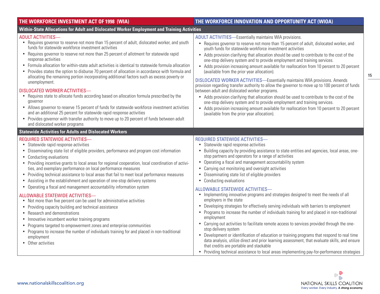| THE WORKFORCE INVESTMENT ACT OF 1998 (WIA)                                                                                                                                                                                                                                                                                                                                                                                                                                                                                                                                                                                                                                                                                                                                                                                                                                                                                                                                                                                                                                                                                                                      | THE WORKFORCE INNOVATION AND OPPORTUNITY ACT (WIOA)                                                                                                                                                                                                                                                                                                                                                                                                                                                                                                                                                                                                                                                                                                                                                                                                                                                                                                                                                                                                                                                                                                                                                                                                                                                                                    |
|-----------------------------------------------------------------------------------------------------------------------------------------------------------------------------------------------------------------------------------------------------------------------------------------------------------------------------------------------------------------------------------------------------------------------------------------------------------------------------------------------------------------------------------------------------------------------------------------------------------------------------------------------------------------------------------------------------------------------------------------------------------------------------------------------------------------------------------------------------------------------------------------------------------------------------------------------------------------------------------------------------------------------------------------------------------------------------------------------------------------------------------------------------------------|----------------------------------------------------------------------------------------------------------------------------------------------------------------------------------------------------------------------------------------------------------------------------------------------------------------------------------------------------------------------------------------------------------------------------------------------------------------------------------------------------------------------------------------------------------------------------------------------------------------------------------------------------------------------------------------------------------------------------------------------------------------------------------------------------------------------------------------------------------------------------------------------------------------------------------------------------------------------------------------------------------------------------------------------------------------------------------------------------------------------------------------------------------------------------------------------------------------------------------------------------------------------------------------------------------------------------------------|
| Within-State Allocations for Adult and Dislocated Worker Employment and Training Activities                                                                                                                                                                                                                                                                                                                                                                                                                                                                                                                                                                                                                                                                                                                                                                                                                                                                                                                                                                                                                                                                     |                                                                                                                                                                                                                                                                                                                                                                                                                                                                                                                                                                                                                                                                                                                                                                                                                                                                                                                                                                                                                                                                                                                                                                                                                                                                                                                                        |
| <b>ADULT ACTIVITIES-</b><br>• Requires governor to reserve not more than 15 percent of adult, dislocated worker, and youth<br>funds for statewide workforce investment activities<br>Requires governor to reserve not more than 25 percent of allotment for statewide rapid<br>$\bullet$<br>response activities<br>Formula allocation for within-state adult activities is identical to statewide formula allocation<br>Provides states the option to disburse 70 percent of allocation in accordance with formula and<br>allocating the remaining portion incorporating additional factors such as excess poverty or<br>unemployment.<br><b>DISLOCATED WORKER ACTIVITIES-</b><br>• Requires state to allocate funds according based on allocation formula prescribed by the<br>governor<br>• Allows governor to reserve 15 percent of funds for statewide workforce investment activities<br>and an additional 25 percent for statewide rapid response activities<br>Provides governor with transfer authority to move up to 20 percent of funds between adult<br>$\bullet$<br>and dislocated worker programs                                                  | <b>ADULT ACTIVITIES—Essentially maintains WIA provisions.</b><br>Requires governor to reserve not more than 15 percent of adult, dislocated worker, and<br>youth funds for statewide workforce investment activities<br>• Adds provision clarifying that allocation should be used to contribute to the cost of the<br>one-stop delivery system and to provide employment and training services.<br>• Adds provision increasing amount available for reallocation from 10 percent to 20 percent<br>(available from the prior year allocation).<br><b>DISLOCATED WORKER ACTIVITIES-Essentially maintains WIA provisions. Amends</b><br>provision regarding transfer authority to allow the governor to move up to 100 percent of funds<br>between adult and dislocated worker programs.<br>• Adds provision clarifying that allocation should be used to contribute to the cost of the<br>one-stop delivery system and to provide employment and training services.<br>• Adds provision increasing amount available for reallocation from 10 percent to 20 percent<br>(available from the prior year allocation).                                                                                                                                                                                                                       |
| <b>Statewide Activities for Adults and Dislocated Workers</b>                                                                                                                                                                                                                                                                                                                                                                                                                                                                                                                                                                                                                                                                                                                                                                                                                                                                                                                                                                                                                                                                                                   |                                                                                                                                                                                                                                                                                                                                                                                                                                                                                                                                                                                                                                                                                                                                                                                                                                                                                                                                                                                                                                                                                                                                                                                                                                                                                                                                        |
| <b>REQUIRED STATEWIDE ACTIVITIES-</b><br>Statewide rapid response activities<br>Disseminating state list of eligible providers, performance and program cost information<br>Conducting evaluations<br>$\bullet$<br>Providing incentive grants to local areas for regional cooperation, local coordination of activi-<br>$\bullet$<br>ties, and exemplary performance on local performance measures<br>• Providing technical assistance to local areas that fail to meet local performance measures<br>Assisting in the establishment and operation of one-stop delivery systems<br>Operating a fiscal and management accountability information system<br><b>ALLOWABLE STATEWIDE ACTIVITIES-</b><br>Not more than five percent can be used for administrative activities<br>$\bullet$<br>Providing capacity building and technical assistance<br>$\bullet$<br>Research and demonstrations<br>$\bullet$<br>Innovative incumbent worker training programs<br>Programs targeted to empowerment zones and enterprise communities<br>• Programs to increase the number of individuals training for and placed in non-traditional<br>employment<br>• Other activities | REQUIRED STATEWIDE ACTIVITIES-<br>Statewide rapid response activities<br>Building capacity by providing assistance to state entities and agencies, local areas, one-<br>stop partners and operators for a range of activities<br>Operating a fiscal and management accountability system<br>$\bullet$<br>Carrying out monitoring and oversight activities<br>Disseminating state list of eligible providers<br>Conducting evaluations<br>$\bullet$<br>ALLOWABLE STATEWIDE ACTIVITIES-<br>Implementing innovative programs and strategies designed to meet the needs of all<br>$\bullet$<br>employers in the state<br>Developing strategies for effectively serving individuals with barriers to employment<br>$\bullet$<br>Programs to increase the number of individuals training for and placed in non-traditional<br>$\bullet$<br>employment<br>Carrying out activities to facilitate remote access to services provided through the one-<br>$\bullet$<br>stop delivery system<br>Development or identification of education or training programs that respond to real time<br>$\bullet$<br>data analysis, utilize direct and prior learning assessment, that evaluate skills, and ensure<br>that credits are portable and stackable<br>• Providing technical assistance to local areas implementing pay-for-performance strategies |

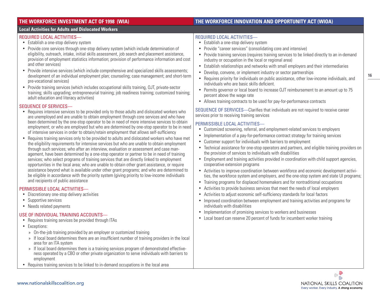### **THE WORKFORCE INVESTMENT ACT OF 1998 (WIA) THE WORKFORCE INNOVATION AND OPPORTUNITY ACT (WIOA)**

### **Local Activities for Adults and Dislocated Workers**

### REQUIRED LOCAL ACTIVITIES—

- Establish a one-stop delivery system
- Provide core services through one-stop delivery system (which include determination of eligibility, outreach, intake, initial skills assessment, job search and placement assistance, provision of employment statistics information; provision of performance information and cost and other services)
- Provide intensive services (which include comprehensive and specialized skills assessments: development of an individual employment plan; counseling; case management; and short-term pre-vocational services)
- Provide training services (which includes occupational skills training, OJT, private-sector training; skills upgrading; entrepreneurial training; job readiness training; customized training; adult education and literacy activities)

### SEQUENCE OF SERVICES—

- Requires intensive services to be provided only to those adults and dislocated workers who are unemployed and are unable to obtain employment through core services and who have been determined by the one-stop operator to be in need of more intensive services to obtain employment; or who are employed but who are determined by one-stop operator to be in need of intensive services in order to obtain/retain employment that allows self-sufficiency
- Requires training services only to be provided to adults and dislocated workers who have met the eligibility requirements for intensive services but who are unable to obtain employment through such services; who after an interview, evaluation or assessment and case management, have been determined by a one-stop operator or partner to be in need of training services; who select programs of training services that are directly linked to employment opportunities in the local area; who are unable to obtain other grant assistance, or require assistance beyond what is available under other grant programs; and who are determined to be eligible in accordance with the priority system (giving priority to low-income individuals and recipients of public assistance

### PERMISSIBLE LOCAL ACTIVITIES—

- Discretionary one-stop delivery activities
- Supportive services
- Needs related payments

### USE OF INDIVIDUAL TRAINING ACCOUNTS—

- Requires training services be provided through ITAs
- Exceptions:
	- » On-the-job training provided by an employer or customized training
	- » If local board determines there are an insufficient number of training providers in the local area for an ITA system
	- » If local board determines there is a training services program of demonstrated effectiveness operated by a CBO or other private organization to serve individuals with barriers to employment
- Requires training services to be linked to in-demand occupations in the local area

### REQUIRED LOCAL ACTIVITIES—

- Establish a one-stop delivery system
- Provide "career services" (consolidating core and intensive)
- Provide training services (requires training services to be linked directly to an in-demand industry or occupation in the local or regional area)
- Establish relationships and networks with small employers and their intermediaries
- Develop, convene, or implement industry or sector partnerships
- Requires priority for individuals on public assistance, other low-income individuals, and individuals who are basic skills deficient.
- Permits governor or local board to increase OJT reimbursement to an amount up to 75 percent above the wage rate
- Allows training contracts to be used for pay-for-performance contracts

SEQUENCE OF SERVICES—Clarifies that individuals are not required to receive career services prior to receiving training services

### PERMISSIBLE LOCAL ACTIVITIES—

- Customized screening, referral, and employment-related services to employers
- Implementation of a pay-for-performance contract strategy for training services
- Customer support for individuals with barriers to employment
- Technical assistance for one-stop operators and partners, and eligible training providers on the provision of services to individuals with disabilities
- Employment and training activities provided in coordination with child support agencies, cooperative extension programs
- Activities to improve coordination between workforce and economic development activities, the workforce system and employers, and the one-stop system and state UI programs;
- Training programs for displaced homemakers and for nontraditional occupations
- Activities to provide business services that meet the needs of local employers
- • Activities to adjust economic self-sufficiency standards for local factors
- Improved coordination between employment and training activities and programs for individuals with disabilities
- Implementation of promising services to workers and businesses
- Local board can reserve 20 percent of funds for incumbent worker training

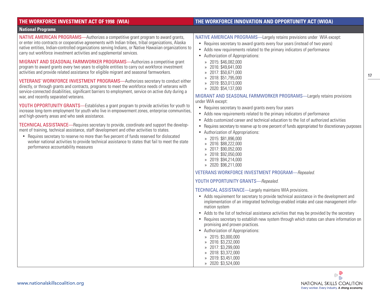### **THE WORKFORCE INVESTMENT ACT OF 1998 (WIA) THE WORKFORCE INNOVATION AND OPPORTUNITY ACT (WIOA) National Programs** NATIVE AMERICAN PROGRAMS—Authorizes a competitive grant program to award grants, or enter into contracts or cooperative agreements with Indian tribes, tribal organizations, Alaska native entities, Indian-controlled organizations serving Indians, or Native Hawaiian organizations to carry out workforce investment activities and supplemental services. MIGRANT AND SEASONAL FARMWORKER PROGRAMS—Authorizes a competitive grant program to award grants every two years to eligible entities to carry out workforce investment activities and provide related assistance for eligible migrant and seasonal farmworkers. VETERANS' WORKFORCE INVESTMENT PROGRAMS—Authorizes secretary to conduct either directly, or through grants and contracts, programs to meet the workforce needs of veterans with service-connected disabilities, significant barriers to employment, service on active duty during a war, and recently separated veterans. YOUTH OPPORTUNITY GRANTS—Establishes a grant program to provide activities for youth to increase long-term employment for youth who live in empowerment zones, enterprise communities, and high-poverty areas and who seek assistance. TECHNICAL ASSISTANCE—Requires secretary to provide, coordinate and support the development of training, technical assistance, staff development and other activities to states. • Requires secretary to reserve no more than five percent of funds reserved for dislocated worker national activities to provide technical assistance to states that fail to meet the state performance accountability measures NATIVE AMERICAN PROGRAMS—Largely retains previsions under WIA except: • Requires secretary to award grants every four years (instead of two years) • Adds new requirements related to the primary indicators of performance • Authorization of Appropriations: » 2015: \$46,082,000 » 2016: \$49,641,000 » 2017: \$50,671,000 » 2018: \$51,795,000 » 2019: \$53,013,000 » 2020: \$54,137,000 MIGRANT AND SEASONAL FARMWORKER PROGRAMS—Largely retains provisions under WIA except: • Requires secretary to award grants every four years • Adds new requirements related to the primary indicators of performance • Adds customized career and technical education to the list of authorized activities • Requires secretary to reserve up to one percent of funds appropriated for discretionary purposes • Authorization of Appropriations: » 2015: \$81,896,000 » 2016: \$88,222,000 » 2017: \$90,052,000 » 2018: \$92,050,000 » 2019: \$94,214,000 » 2020: \$96,211,000 VETERANS WORKFORCE INVESTMENT PROGRAM—*Repealed*. YOUTH OPPORTUNITY GRANTS—*Repealed*. TECHNICAL ASSISTANCE—Largely maintains WIA provisions. • Adds requirement for secretary to provide technical assistance in the development and implementation of an integrated technology-enabled intake and case management information system • Adds to the list of technical assistance activities that may be provided by the secretary • Requires secretary to establish new system through which states can share information on promising and proven practices. • Authorization of Appropriations: » 2015: \$3,000,000 » 2016: \$3,232,000 » 2017: \$3,299,000 » 2018: \$3,372,000 » 2019: \$3,451,000 » 2020: \$3,524,000

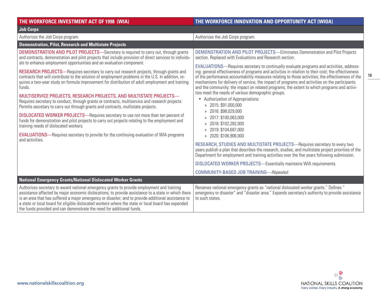### **THE WORKFORCE INVESTMENT ACT OF 1998 (WIA) THE WORKFORCE INNOVATION AND OPPORTUNITY ACT (WIOA) Job Corps** Authorizes the Job Corps program. Authorizes the Job Corps program. **Demonstration, Pilot, Research and Multistate Projects** DEMONSTRATION AND PILOT PROJECTS—Secretary is required to carry out, through grants and contracts, demonstration and pilot projects that include provision of direct services to individuals to enhance employment opportunities and an evaluation component. RESEARCH PROJECTS—Requires secretary to carry out research projects, through grants and contracts that will contribute to the solution of employment problems in the U.S. In addition, requires a two-year study on formula improvement for distribution of adult employment and training funds. MULTISERVICE PROJECTS, RESEARCH PROJECTS, AND MULTISTATE PROJECTS— Requires secretary to conduct, through grants or contracts, multiservice and research projects. Permits secretary to carry out through grants and contracts, multistate projects. DISLOCATED WORKER PROJECTS—Requires secretary to use not more than ten percent of funds for demonstration and pilot projects to carry out projects relating to the employment and training needs of dislocated workers. EVALUATIONS—Requires secretary to provide for the continuing evaluation of WIA programs and activities. DEMONSTRATION AND PILOT PROJECTS—Eliminates Demonstration and Pilot Projects section. Replaced with Evaluations and Research section. EVALUATIONS—Requires secretary to continually evaluate programs and activities, addressing: general effectiveness of programs and activities in relation to their cost; the effectiveness of the performance accountability measures relating to those activities; the effectiveness of the mechanisms for delivery of service; the impact of programs and activities on the participants and the community; the impact on related programs; the extent to which programs and activities meet the needs of various demographic groups. • Authorization of Appropriations: » 2015: \$91,000,000 » 2016: \$98,029,000 » 2017: \$100,063,000 » 2018: \$102,282,000 » 2019: \$104,687,000 » 2020: \$106,906,000 RESEARCH, STUDIES AND MULTISTATE PROJECTS—Requires secretary to every two years publish a plan that describes the research, studies, and multistate project priorities of the Department for employment and training activities over the five years following submission. DISLOCATED WORKER PROJECTS—Essentially maintains WIA requirements. COMMUNITY-BASED JOB TRAINING—*Repealed*. **National Emergency Grants/National Dislocated Worker Grants** Authorizes secretary to award national emergency grants to provide employment and training assistance affected by major economic dislocations; to provide assistance to a state in which there is an area that has suffered a major emergency or disaster; and to provide additional assistance to a state or local board for eligible dislocated workers where the state or local board has expended the funds provided and can demonstrate the need for additional funds. Renames national emergency grants as "national dislocated worker grants." Defines " emergency or disaster" and "disaster area." Expands secretary's authority to provide assistance to such states.

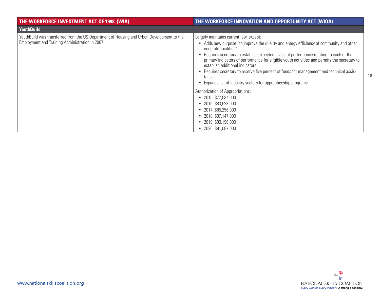| THE WORKFORCE INVESTMENT ACT OF 1998 (WIA)                                                                                                   | THE WORKFORCE INNOVATION AND OPPORTUNITY ACT (WIOA)                                                                                                                                                                                                                                                                                                                                                                                                                                                                                                                                                                                                                                                                                                                       |
|----------------------------------------------------------------------------------------------------------------------------------------------|---------------------------------------------------------------------------------------------------------------------------------------------------------------------------------------------------------------------------------------------------------------------------------------------------------------------------------------------------------------------------------------------------------------------------------------------------------------------------------------------------------------------------------------------------------------------------------------------------------------------------------------------------------------------------------------------------------------------------------------------------------------------------|
| <b>YouthBuild</b>                                                                                                                            |                                                                                                                                                                                                                                                                                                                                                                                                                                                                                                                                                                                                                                                                                                                                                                           |
| YouthBuild was transferred from the US Department of Housing and Urban Development to the<br>Employment and Training Administration in 2007. | Largely maintains current law, except:<br>• Adds new purpose "to improve the quality and energy efficiency of community and other<br>nonprofit facilities"<br>Requires secretary to establish expected levels of performance relating to each of the<br>primary indicators of performance for eligible youth activities and permits the secretary to<br>establish additional indicators<br>Requires secretary to reserve five percent of funds for management and technical assis-<br>tance<br>• Expands list of industry sectors for apprenticeship programs<br>Authorization of Appropriations:<br>$\bullet$ 2015: \$77,534,000<br>2016: \$83,523,000<br>2017: \$85,256,000<br>2018: \$87,147,000<br>$\bullet$<br>2019: \$89,196,000<br>$\bullet$<br>2020: \$91,087,000 |

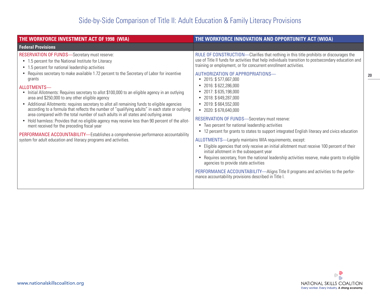| THE WORKFORCE INVESTMENT ACT OF 1998 (WIA)                                                                                                                                                                                                                                                                                                                                                                                                                                                                                                                                                                                                                                                                                                                                                                                                                                                                                                                                                                                                                          | THE WORKFORCE INNOVATION AND OPPORTUNITY ACT (WIOA)                                                                                                                                                                                                                                                                                                                                                                                                                                                                                                                                                                                                                                                                                                                                                                                                                                                                                                                                                                                                                                                                                                                                                             |
|---------------------------------------------------------------------------------------------------------------------------------------------------------------------------------------------------------------------------------------------------------------------------------------------------------------------------------------------------------------------------------------------------------------------------------------------------------------------------------------------------------------------------------------------------------------------------------------------------------------------------------------------------------------------------------------------------------------------------------------------------------------------------------------------------------------------------------------------------------------------------------------------------------------------------------------------------------------------------------------------------------------------------------------------------------------------|-----------------------------------------------------------------------------------------------------------------------------------------------------------------------------------------------------------------------------------------------------------------------------------------------------------------------------------------------------------------------------------------------------------------------------------------------------------------------------------------------------------------------------------------------------------------------------------------------------------------------------------------------------------------------------------------------------------------------------------------------------------------------------------------------------------------------------------------------------------------------------------------------------------------------------------------------------------------------------------------------------------------------------------------------------------------------------------------------------------------------------------------------------------------------------------------------------------------|
| <b>Federal Provisions</b>                                                                                                                                                                                                                                                                                                                                                                                                                                                                                                                                                                                                                                                                                                                                                                                                                                                                                                                                                                                                                                           |                                                                                                                                                                                                                                                                                                                                                                                                                                                                                                                                                                                                                                                                                                                                                                                                                                                                                                                                                                                                                                                                                                                                                                                                                 |
| <b>RESERVATION OF FUNDS</b> -Secretary must reserve:<br>• 1.5 percent for the National Institute for Literacy<br>• 1.5 percent for national leadership activities<br>• Requires secretary to make available 1.72 percent to the Secretary of Labor for incentive<br>grants<br>ALLOTMENTS-<br>Initial Allotments: Requires secretary to allot \$100,000 to an eligible agency in an outlying<br>$\bullet$<br>area and \$250,000 to any other eligible agency<br>• Additional Allotments: requires secretary to allot all remaining funds to eligible agencies<br>according to a formula that reflects the number of "qualifying adults" in each state or outlying<br>area compared with the total number of such adults in all states and outlying areas<br>• Hold harmless: Provides that no eligible agency may receive less than 90 percent of the allot-<br>ment received for the preceding fiscal year<br>PERFORMANCE ACCOUNTABILITY—Establishes a comprehensive performance accountability<br>system for adult education and literacy programs and activities. | RULE OF CONSTRUCTION—Clarifies that nothing in this title prohibits or discourages the<br>use of Title II funds for activities that help individuals transition to postsecondary education and<br>training or employment, or for concurrent enrollment activities.<br>AUTHORIZATION OF APPROPRIATIONS-<br>$\bullet$ 2015: \$577,667,000<br>2016: \$622,286,000<br>$\bullet$<br>2017: \$635,198,000<br>$\bullet$<br>2018: \$649,287,000<br>$\bullet$<br>2019: \$664,552,000<br>2020: \$678,640,000<br>$\bullet$<br>RESERVATION OF FUNDS-Secretary must reserve:<br>• Two percent for national leadership activities<br>12 percent for grants to states to support integrated English literacy and civics education<br>ALLOTMENTS-Largely maintains WIA requirements, except:<br>• Eligible agencies that only receive an initial allotment must receive 100 percent of their<br>initial allotment in the subsequent year<br>• Requires secretary, from the national leadership activities reserve, make grants to eligible<br>agencies to provide state activities<br>PERFORMANCE ACCOUNTABILITY—Aligns Title II programs and activities to the perfor-<br>mance accountability provisions described in Title I. |

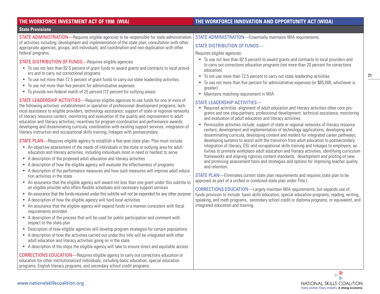| THE WORKFORCE INVESTMENT ACT OF 1998 (WIA)                                                                                                                                                                                                                                                                                                                                                                                                                                                                                                                                                                                                                                                                                                                                                                                                                                                                                                                                                                                                                                                                                                                                                                                                                                                                                                                                                                                                                                                                                                                                                                                                                                                                                                                                                                                                                                                                                                                                                                                                                                                                                                                                                                                                                                                                                                                                                                              | THE WORKFORCE INNOVATION AND OPPORTUNITY ACT (WIOA)                                                                                                                                                                                                                                                                                                                                                                                                                                                                                                                                                                                                                                                                                                                                                                                                                                                                                                                                                                                                                                                                                                                                                                                                                                                                                                                                                                                                                                                                                                        |
|-------------------------------------------------------------------------------------------------------------------------------------------------------------------------------------------------------------------------------------------------------------------------------------------------------------------------------------------------------------------------------------------------------------------------------------------------------------------------------------------------------------------------------------------------------------------------------------------------------------------------------------------------------------------------------------------------------------------------------------------------------------------------------------------------------------------------------------------------------------------------------------------------------------------------------------------------------------------------------------------------------------------------------------------------------------------------------------------------------------------------------------------------------------------------------------------------------------------------------------------------------------------------------------------------------------------------------------------------------------------------------------------------------------------------------------------------------------------------------------------------------------------------------------------------------------------------------------------------------------------------------------------------------------------------------------------------------------------------------------------------------------------------------------------------------------------------------------------------------------------------------------------------------------------------------------------------------------------------------------------------------------------------------------------------------------------------------------------------------------------------------------------------------------------------------------------------------------------------------------------------------------------------------------------------------------------------------------------------------------------------------------------------------------------------|------------------------------------------------------------------------------------------------------------------------------------------------------------------------------------------------------------------------------------------------------------------------------------------------------------------------------------------------------------------------------------------------------------------------------------------------------------------------------------------------------------------------------------------------------------------------------------------------------------------------------------------------------------------------------------------------------------------------------------------------------------------------------------------------------------------------------------------------------------------------------------------------------------------------------------------------------------------------------------------------------------------------------------------------------------------------------------------------------------------------------------------------------------------------------------------------------------------------------------------------------------------------------------------------------------------------------------------------------------------------------------------------------------------------------------------------------------------------------------------------------------------------------------------------------------|
| <b>State Provisions</b>                                                                                                                                                                                                                                                                                                                                                                                                                                                                                                                                                                                                                                                                                                                                                                                                                                                                                                                                                                                                                                                                                                                                                                                                                                                                                                                                                                                                                                                                                                                                                                                                                                                                                                                                                                                                                                                                                                                                                                                                                                                                                                                                                                                                                                                                                                                                                                                                 |                                                                                                                                                                                                                                                                                                                                                                                                                                                                                                                                                                                                                                                                                                                                                                                                                                                                                                                                                                                                                                                                                                                                                                                                                                                                                                                                                                                                                                                                                                                                                            |
| STATE ADMINISTRATION—Requires eligible agencies to be responsible for state administration                                                                                                                                                                                                                                                                                                                                                                                                                                                                                                                                                                                                                                                                                                                                                                                                                                                                                                                                                                                                                                                                                                                                                                                                                                                                                                                                                                                                                                                                                                                                                                                                                                                                                                                                                                                                                                                                                                                                                                                                                                                                                                                                                                                                                                                                                                                              | STATE ADMINISTRATION-Essentially maintains WIA requirements.                                                                                                                                                                                                                                                                                                                                                                                                                                                                                                                                                                                                                                                                                                                                                                                                                                                                                                                                                                                                                                                                                                                                                                                                                                                                                                                                                                                                                                                                                               |
| of activities including: development and implementation of the state plan; consultation with other<br>appropriate agencies, groups, and individuals; and coordination and non-duplication with other                                                                                                                                                                                                                                                                                                                                                                                                                                                                                                                                                                                                                                                                                                                                                                                                                                                                                                                                                                                                                                                                                                                                                                                                                                                                                                                                                                                                                                                                                                                                                                                                                                                                                                                                                                                                                                                                                                                                                                                                                                                                                                                                                                                                                    | <b>STATE DISTRIBUTION OF FUNDS-</b>                                                                                                                                                                                                                                                                                                                                                                                                                                                                                                                                                                                                                                                                                                                                                                                                                                                                                                                                                                                                                                                                                                                                                                                                                                                                                                                                                                                                                                                                                                                        |
| federal programs.                                                                                                                                                                                                                                                                                                                                                                                                                                                                                                                                                                                                                                                                                                                                                                                                                                                                                                                                                                                                                                                                                                                                                                                                                                                                                                                                                                                                                                                                                                                                                                                                                                                                                                                                                                                                                                                                                                                                                                                                                                                                                                                                                                                                                                                                                                                                                                                                       | Requires eligible agencies:                                                                                                                                                                                                                                                                                                                                                                                                                                                                                                                                                                                                                                                                                                                                                                                                                                                                                                                                                                                                                                                                                                                                                                                                                                                                                                                                                                                                                                                                                                                                |
| STATE DISTRIBUTION OF FUNDS-Requires eligible agencies:<br>• To use not less than 82.5 percent of grant funds to award grants and contracts to local provid-<br>ers and to carry out correctional programs<br>• To use not more than 12.5 percent of grant funds to carry out state leadership activities<br>• To use not more than five percent for administrative expenses<br>• To provide non-federal match of 25 percent (12 percent for outlying areas)                                                                                                                                                                                                                                                                                                                                                                                                                                                                                                                                                                                                                                                                                                                                                                                                                                                                                                                                                                                                                                                                                                                                                                                                                                                                                                                                                                                                                                                                                                                                                                                                                                                                                                                                                                                                                                                                                                                                                            | • To use not less than 82.5 percent to award grants and contracts to local providers and<br>to carry out corrections education programs (not more than 20 percent for corrections<br>education)<br>• To not use more than 12.5 percent to carry out state leadership activities<br>• To use not more than five percent for administrative expenses (or \$85,000, whichever is<br>greater)<br>• Maintains matching requirement in WIA                                                                                                                                                                                                                                                                                                                                                                                                                                                                                                                                                                                                                                                                                                                                                                                                                                                                                                                                                                                                                                                                                                                       |
| STATE LEADERSHIP ACTIVITIES—Requires eligible agencies to use funds for one or more of<br>the following activities: establishment or operation of professional development programs; tech-<br>nical assistance to eligible providers; technology assistance; support of state or regional networks<br>of literacy resource centers; monitoring and evaluation of the quality and improvement in adult<br>education and literacy activities; incentives for program coordination and performance awards;<br>developing and disseminating curricula; coordination with existing support services; integration of<br>literacy instruction and occupational skills training; linkages with postsecondary.<br><b>STATE PLAN—</b> Requires eligible agency to establish a five-year state plan. Plan must include:<br>• An objective assessment of the needs of individuals in the state or outlying area for adult<br>education and literacy activities, including individuals most in need or hardest to serve<br>• A description of the proposed adult education and literacy activities<br>A description of how the eligible agency will evaluate the effectiveness of programs<br>• A description of the performance measures and how such measures will improve adult educa-<br>tion activities in the state<br>An assurance that the eligible agency will award not less than one grant under this subtitle to<br>an eligible provider who offers flexible schedules and necessary support services<br>• An assurance that the funds received under this subtitle will not be expended for any other purpose<br>A description of how the eligible agency will fund local activities<br>٠<br>• An assurance that the eligible agency will expend funds in a manner consistent with fiscal<br>requirements provided<br>• A description of the process that will be used for public participation and comment with<br>respect to the state plan<br>• Description of how eligible agencies will develop program strategies for certain populations<br>• A description of how the activities carried out under this title will be integrated with other<br>adult education and literacy activities going on in the state<br>• A description of the steps the eligible agency will take to ensure direct and equitable access<br><b>CORRECTIONS EDUCATION—Requires eligible agency to carry out corrections education or</b> | STATE LEADERSHIP ACTIVITIES-<br>Required activities: alignment of adult education and literacy activities other core pro-<br>grams and one stop-partners; professional development; technical assistance; monitoring<br>and evaluation of adult education and literacy activities.<br>• Permissible activities include: support of state or regional networks of literacy resource<br>centers; development and implementation of technology applications; developing and<br>disseminating curricula; developing content and models for integrated career pathways;<br>developing systems to assist with the transition from adult education to postsecondary;<br>integration of literacy, ESL and occupational skills training and linkages to employers; ac-<br>tivities to promote workplace adult education and literacy activities; identifying curriculum<br>frameworks and aligning rigorous content standards; development and piloting of new<br>and promising assessment tools and strategies and options for improving teacher quality<br>and retention.<br>STATE PLAN—Eliminates current state plan requirements and requires state plan to be<br>approved as part of a unified or combined state plan under Title I.<br>CORRECTIONS EDUCATION—Largely maintain WIA requirements, but expands use of<br>funds provision to include: basic skills education, special education programs, reading, writing,<br>speaking, and math programs, secondary school credit or diploma programs, or equivalent, and<br>integrated education and training. |
| education for other institutionalized individuals, including basic education, special education<br>programs; English literacy programs; and secondary school credit programs.                                                                                                                                                                                                                                                                                                                                                                                                                                                                                                                                                                                                                                                                                                                                                                                                                                                                                                                                                                                                                                                                                                                                                                                                                                                                                                                                                                                                                                                                                                                                                                                                                                                                                                                                                                                                                                                                                                                                                                                                                                                                                                                                                                                                                                           |                                                                                                                                                                                                                                                                                                                                                                                                                                                                                                                                                                                                                                                                                                                                                                                                                                                                                                                                                                                                                                                                                                                                                                                                                                                                                                                                                                                                                                                                                                                                                            |